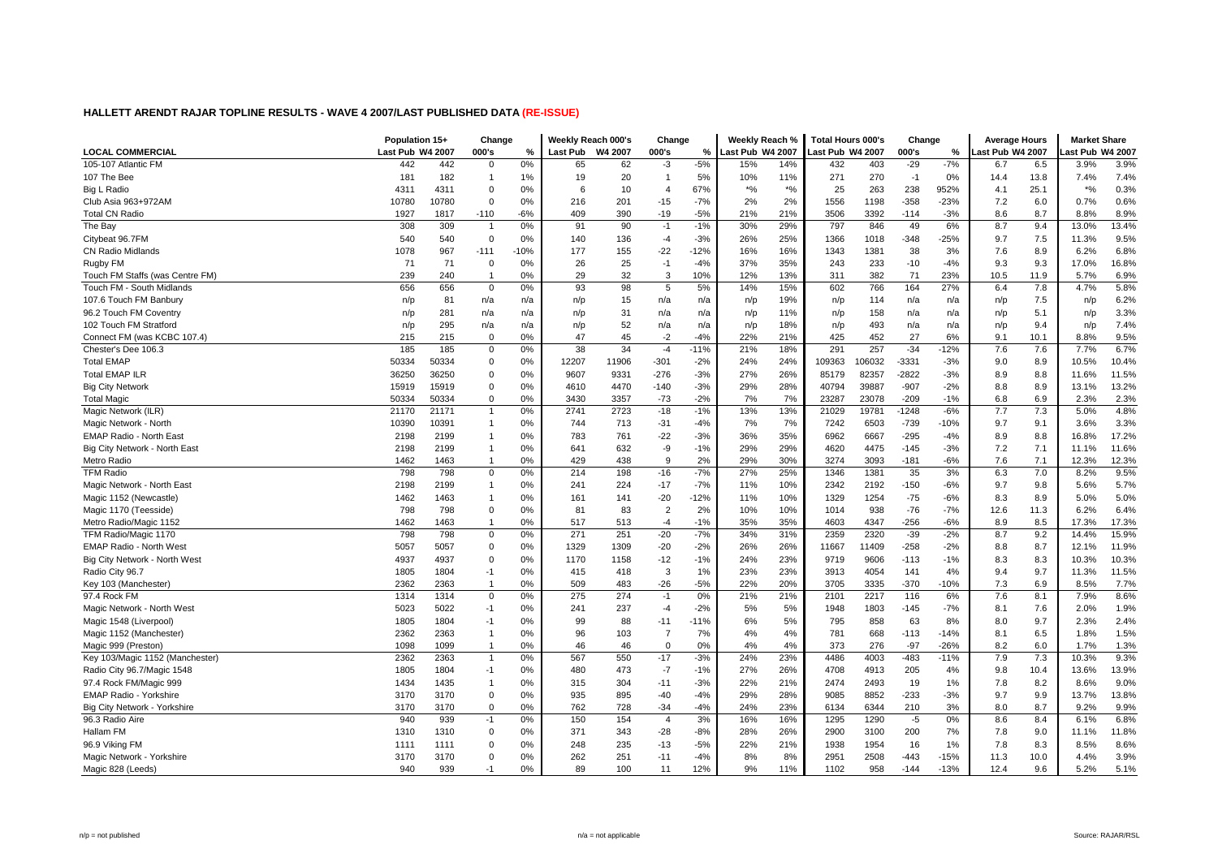|                                 | Population 15+   |       | Change         |        | Weekly Reach 000's |         | Change         |        | Weekly Reach %  |          | <b>Total Hours 000's</b> |        | Change  |        | <b>Average Hours</b> |      | <b>Market Share</b>            |       |
|---------------------------------|------------------|-------|----------------|--------|--------------------|---------|----------------|--------|-----------------|----------|--------------------------|--------|---------|--------|----------------------|------|--------------------------------|-------|
| <b>LOCAL COMMERCIAL</b>         | Last Pub W4 2007 |       | 000's          | %      | <b>Last Pub</b>    | W4 2007 | 000's          | %      | ast Pub W4 2007 |          | ast Pub W4 2007.         |        | 000's   | %      | ast Pub W4 2007.     |      | ast Pub W4 2007                |       |
| 105-107 Atlantic FM             | 442              | 442   | $\Omega$       | 0%     | 65                 | 62      | $-3$           | $-5%$  | 15%             | 14%      | 432                      | 403    | $-29$   | $-7%$  | 6.7                  | 6.5  | 3.9%                           | 3.9%  |
| 107 The Bee                     | 181              | 182   | $\mathbf{1}$   | 1%     | 19                 | 20      | $\mathbf{1}$   | 5%     | 10%             | 11%      | 271                      | 270    | $-1$    | 0%     | 14.4                 | 13.8 | 7.4%                           | 7.4%  |
| Big L Radio                     | 4311             | 4311  | $\Omega$       | 0%     | 6                  | 10      | $\overline{4}$ | 67%    | $*9/6$          | $*_{\%}$ | 25                       | 263    | 238     | 952%   | 4.1                  | 25.1 | $\star\mathrm{o}_{\mathrm{6}}$ | 0.3%  |
| Club Asia 963+972AM             | 10780            | 10780 | $\Omega$       | 0%     | 216                | 201     | $-15$          | $-7%$  | 2%              | 2%       | 1556                     | 1198   | $-358$  | $-23%$ | 7.2                  | 6.0  | 0.7%                           | 0.6%  |
| <b>Total CN Radio</b>           | 1927             | 1817  | $-110$         | -6%    | 409                | 390     | $-19$          | $-5%$  | 21%             | 21%      | 3506                     | 3392   | $-114$  | $-3%$  | 8.6                  | 8.7  | 8.8%                           | 8.9%  |
| The Bay                         | 308              | 309   | $\overline{1}$ | 0%     | 91                 | 90      | $-1$           | $-1%$  | 30%             | 29%      | 797                      | 846    | 49      | 6%     | 8.7                  | 9.4  | 13.0%                          | 13.4% |
| Citybeat 96.7FM                 | 540              | 540   | $\Omega$       | 0%     | 140                | 136     | $-4$           | $-3%$  | 26%             | 25%      | 1366                     | 1018   | $-348$  | -25%   | 9.7                  | 7.5  | 11.3%                          | 9.5%  |
| <b>CN Radio Midlands</b>        | 1078             | 967   | $-111$         | $-10%$ | 177                | 155     | $-22$          | $-12%$ | 16%             | 16%      | 1343                     | 1381   | 38      | 3%     | 7.6                  | 8.9  | 6.2%                           | 6.8%  |
| Rugby FM                        | 71               | 71    | $\Omega$       | 0%     | 26                 | 25      | $-1$           | $-4%$  | 37%             | 35%      | 243                      | 233    | $-10$   | $-4%$  | 9.3                  | 9.3  | 17.0%                          | 16.8% |
| Touch FM Staffs (was Centre FM) | 239              | 240   | $\overline{1}$ | 0%     | 29                 | 32      | 3              | 10%    | 12%             | 13%      | 311                      | 382    | 71      | 23%    | 10.5                 | 11.9 | 5.7%                           | 6.9%  |
| Touch FM - South Midlands       | 656              | 656   | $\Omega$       | 0%     | 93                 | 98      | 5              | 5%     | 14%             | 15%      | 602                      | 766    | 164     | 27%    | 6.4                  | 7.8  | 4.7%                           | 5.8%  |
| 107.6 Touch FM Banbury          | n/p              | 81    | n/a            | n/a    | n/p                | 15      | n/a            | n/a    | n/p             | 19%      | n/p                      | 114    | n/a     | n/a    | n/p                  | 7.5  | n/p                            | 6.2%  |
| 96.2 Touch FM Coventry          | n/p              | 281   | n/a            | n/a    | n/p                | 31      | n/a            | n/a    | n/p             | 11%      | n/p                      | 158    | n/a     | n/a    | n/p                  | 5.1  | n/p                            | 3.3%  |
| 102 Touch FM Stratford          | n/p              | 295   | n/a            | n/a    | n/p                | 52      | n/a            | n/a    | n/p             | 18%      | n/p                      | 493    | n/a     | n/a    | n/p                  | 9.4  | n/p                            | 7.4%  |
| Connect FM (was KCBC 107.4)     | 215              | 215   | $\Omega$       | 0%     | 47                 | 45      | $-2$           | $-4%$  | 22%             | 21%      | 425                      | 452    | 27      | 6%     | 9.1                  | 10.1 | 8.8%                           | 9.5%  |
| Chester's Dee 106.3             | 185              | 185   | $\mathbf 0$    | 0%     | 38                 | 34      | $-4$           | $-11%$ | 21%             | 18%      | 291                      | 257    | $-34$   | $-12%$ | 7.6                  | 7.6  | 7.7%                           | 6.7%  |
| <b>Total EMAP</b>               | 50334            | 50334 | $\Omega$       | 0%     | 12207              | 11906   | $-301$         | $-2%$  | 24%             | 24%      | 109363                   | 106032 | $-3331$ | $-3%$  | 9.0                  | 8.9  | 10.5%                          | 10.4% |
| <b>Total EMAP ILR</b>           | 36250            | 36250 | $\Omega$       | 0%     | 9607               | 9331    | $-276$         | $-3%$  | 27%             | 26%      | 85179                    | 82357  | $-2822$ | $-3%$  | 8.9                  | 8.8  | 11.6%                          | 11.5% |
| <b>Big City Network</b>         | 15919            | 15919 | $\Omega$       | 0%     | 4610               | 4470    | $-140$         | $-3%$  | 29%             | 28%      | 40794                    | 39887  | $-907$  | $-2%$  | 8.8                  | 8.9  | 13.1%                          | 13.2% |
| <b>Total Magic</b>              | 50334            | 50334 | $\Omega$       | 0%     | 3430               | 3357    | $-73$          | $-2%$  | 7%              | 7%       | 23287                    | 23078  | $-209$  | $-1%$  | 6.8                  | 6.9  | 2.3%                           | 2.3%  |
| Magic Network (ILR)             | 21170            | 21171 |                | 0%     | 2741               | 2723    | $-18$          | $-1%$  | 13%             | 13%      | 21029                    | 19781  | $-1248$ | $-6%$  | 7.7                  | 7.3  | 5.0%                           | 4.8%  |
| Magic Network - North           | 10390            | 10391 | $\mathbf{1}$   | 0%     | 744                | 713     | $-31$          | $-4%$  | 7%              | 7%       | 7242                     | 6503   | $-739$  | $-10%$ | 9.7                  | 9.1  | 3.6%                           | 3.3%  |
| EMAP Radio - North East         | 2198             | 2199  | $\mathbf{1}$   | 0%     | 783                | 761     | $-22$          | $-3%$  | 36%             | 35%      | 6962                     | 6667   | $-295$  | $-4%$  | 8.9                  | 8.8  | 16.8%                          | 17.2% |
| Big City Network - North East   | 2198             | 2199  | -1             | 0%     | 641                | 632     | -9             | $-1%$  | 29%             | 29%      | 4620                     | 4475   | $-145$  | $-3%$  | 7.2                  | 7.1  | 11.1%                          | 11.6% |
| Metro Radio                     | 1462             | 1463  | $\overline{1}$ | 0%     | 429                | 438     | 9              | 2%     | 29%             | 30%      | 3274                     | 3093   | $-181$  | $-6%$  | 7.6                  | 7.1  | 12.3%                          | 12.3% |
| <b>TFM Radio</b>                | 798              | 798   | $\mathbf 0$    | 0%     | 214                | 198     | $-16$          | $-7%$  | 27%             | 25%      | 1346                     | 1381   | 35      | 3%     | 6.3                  | 7.0  | 8.2%                           | 9.5%  |
| Magic Network - North East      | 2198             | 2199  | $\mathbf{1}$   | 0%     | 241                | 224     | $-17$          | $-7%$  | 11%             | 10%      | 2342                     | 2192   | $-150$  | $-6%$  | 9.7                  | 9.8  | 5.6%                           | 5.7%  |
| Magic 1152 (Newcastle           | 1462             | 1463  | -1             | 0%     | 161                | 141     | $-20$          | $-12%$ | 11%             | 10%      | 1329                     | 1254   | $-75$   | $-6%$  | 8.3                  | 8.9  | 5.0%                           | 5.0%  |
| Magic 1170 (Teesside)           | 798              | 798   | $\Omega$       | 0%     | 81                 | 83      | $\overline{2}$ | 2%     | 10%             | 10%      | 1014                     | 938    | $-76$   | $-7%$  | 12.6                 | 11.3 | 6.2%                           | 6.4%  |
| Metro Radio/Magic 1152          | 1462             | 1463  | $\mathbf{1}$   | 0%     | 517                | 513     | $-4$           | $-1%$  | 35%             | 35%      | 4603                     | 4347   | $-256$  | $-6%$  | 8.9                  | 8.5  | 17.3%                          | 17.3% |
| TFM Radio/Magic 1170            | 798              | 798   | $\Omega$       | 0%     | 271                | 251     | $-20$          | $-7%$  | 34%             | 31%      | 2359                     | 2320   | $-39$   | $-2%$  | 8.7                  | 9.2  | 14.4%                          | 15.9% |
| EMAP Radio - North West         | 5057             | 5057  | $\Omega$       | 0%     | 1329               | 1309    | $-20$          | $-2%$  | 26%             | 26%      | 11667                    | 11409  | $-258$  | $-2%$  | 8.8                  | 8.7  | 12.1%                          | 11.9% |
| Big City Network - North West   | 4937             | 4937  | $\Omega$       | 0%     | 1170               | 1158    | $-12$          | $-1%$  | 24%             | 23%      | 9719                     | 9606   | $-113$  | $-1%$  | 8.3                  | 8.3  | 10.3%                          | 10.3% |
| Radio City 96.7                 | 1805             | 1804  | $-1$           | 0%     | 415                | 418     | 3              | 1%     | 23%             | 23%      | 3913                     | 4054   | 141     | 4%     | 9.4                  | 9.7  | 11.3%                          | 11.5% |
| Key 103 (Manchester)            | 2362             | 2363  |                | 0%     | 509                | 483     | $-26$          | $-5%$  | 22%             | 20%      | 3705                     | 3335   | $-370$  | -10%   | 7.3                  | 6.9  | 8.5%                           | 7.7%  |
| 97.4 Rock FM                    | 1314             | 1314  | $\Omega$       | 0%     | 275                | 274     | $-1$           | 0%     | 21%             | 21%      | 2101                     | 2217   | 116     | 6%     | 7.6                  | 8.1  | 7.9%                           | 8.6%  |
| Magic Network - North West      | 5023             | 5022  | $-1$           | 0%     | 241                | 237     | $-4$           | $-2%$  | 5%              | 5%       | 1948                     | 1803   | $-145$  | $-7%$  | 8.1                  | 7.6  | 2.0%                           | 1.9%  |
| Magic 1548 (Liverpool)          | 1805             | 1804  | $-1$           | 0%     | 99                 | 88      | $-11$          | $-11%$ | 6%              | 5%       | 795                      | 858    | 63      | 8%     | 8.0                  | 9.7  | 2.3%                           | 2.4%  |
| Magic 1152 (Manchester)         | 2362             | 2363  | $\mathbf{1}$   | 0%     | 96                 | 103     | $\overline{7}$ | 7%     | 4%              | 4%       | 781                      | 668    | $-113$  | $-14%$ | 8.1                  | 6.5  | 1.8%                           | 1.5%  |
| Magic 999 (Preston)             | 1098             | 1099  | $\mathbf{1}$   | 0%     | 46                 | 46      | $\Omega$       | 0%     | 4%              | 4%       | 373                      | 276    | $-97$   | $-26%$ | 8.2                  | 6.0  | 1.7%                           | 1.3%  |
| Key 103/Magic 1152 (Manchester) | 2362             | 2363  | $\mathbf{1}$   | 0%     | 567                | 550     | $-17$          | $-3%$  | 24%             | 23%      | 4486                     | 4003   | $-483$  | $-11%$ | 7.9                  | 7.3  | 10.3%                          | 9.3%  |
| Radio City 96.7/Magic 1548      | 1805             | 1804  | $-1$           | 0%     | 480                | 473     | $-7$           | $-1%$  | 27%             | 26%      | 4708                     | 4913   | 205     | 4%     | 9.8                  | 10.4 | 13.6%                          | 13.9% |
| 97.4 Rock FM/Magic 999          | 1434             | 1435  |                | 0%     | 315                | 304     | $-11$          | $-3%$  | 22%             | 21%      | 2474                     | 2493   | 19      | 1%     | 7.8                  | 8.2  | 8.6%                           | 9.0%  |
| EMAP Radio - Yorkshire          | 3170             | 3170  | $\Omega$       | 0%     | 935                | 895     | $-40$          | $-4%$  | 29%             | 28%      | 9085                     | 8852   | $-233$  | $-3%$  | 9.7                  | 9.9  | 13.7%                          | 13.8% |
| Big City Network - Yorkshire    | 3170             | 3170  | $\mathbf 0$    | 0%     | 762                | 728     | $-34$          | $-4%$  | 24%             | 23%      | 6134                     | 6344   | 210     | 3%     | 8.0                  | 8.7  | 9.2%                           | 9.9%  |
| 96.3 Radio Aire                 | 940              | 939   | $-1$           | 0%     | 150                | 154     | $\overline{4}$ | 3%     | 16%             | 16%      | 1295                     | 1290   | $-5$    | 0%     | 8.6                  | 8.4  | 6.1%                           | 6.8%  |
| Hallam FM                       | 1310             | 1310  | $\Omega$       | 0%     | 371                | 343     | $-28$          | $-8%$  | 28%             | 26%      | 2900                     | 3100   | 200     | 7%     | 7.8                  | 9.0  | 11.1%                          | 11.8% |
| 96.9 Viking FM                  | 1111             | 1111  | $\Omega$       | 0%     | 248                | 235     | $-13$          | $-5%$  | 22%             | 21%      | 1938                     | 1954   | 16      | 1%     | 7.8                  | 8.3  | 8.5%                           | 8.6%  |
| Magic Network - Yorkshire       | 3170             | 3170  | $\Omega$       | 0%     | 262                | 251     | $-11$          | $-4%$  | 8%              | 8%       | 2951                     | 2508   | $-443$  | $-15%$ | 11.3                 | 10.0 | 4.4%                           | 3.9%  |
| Magic 828 (Leeds)               | 940              | 939   | $-1$           | 0%     | 89                 | 100     | 11             | 12%    | 9%              | 11%      | 1102                     | 958    | $-144$  | $-13%$ | 12.4                 | 9.6  | 5.2%                           | 5.1%  |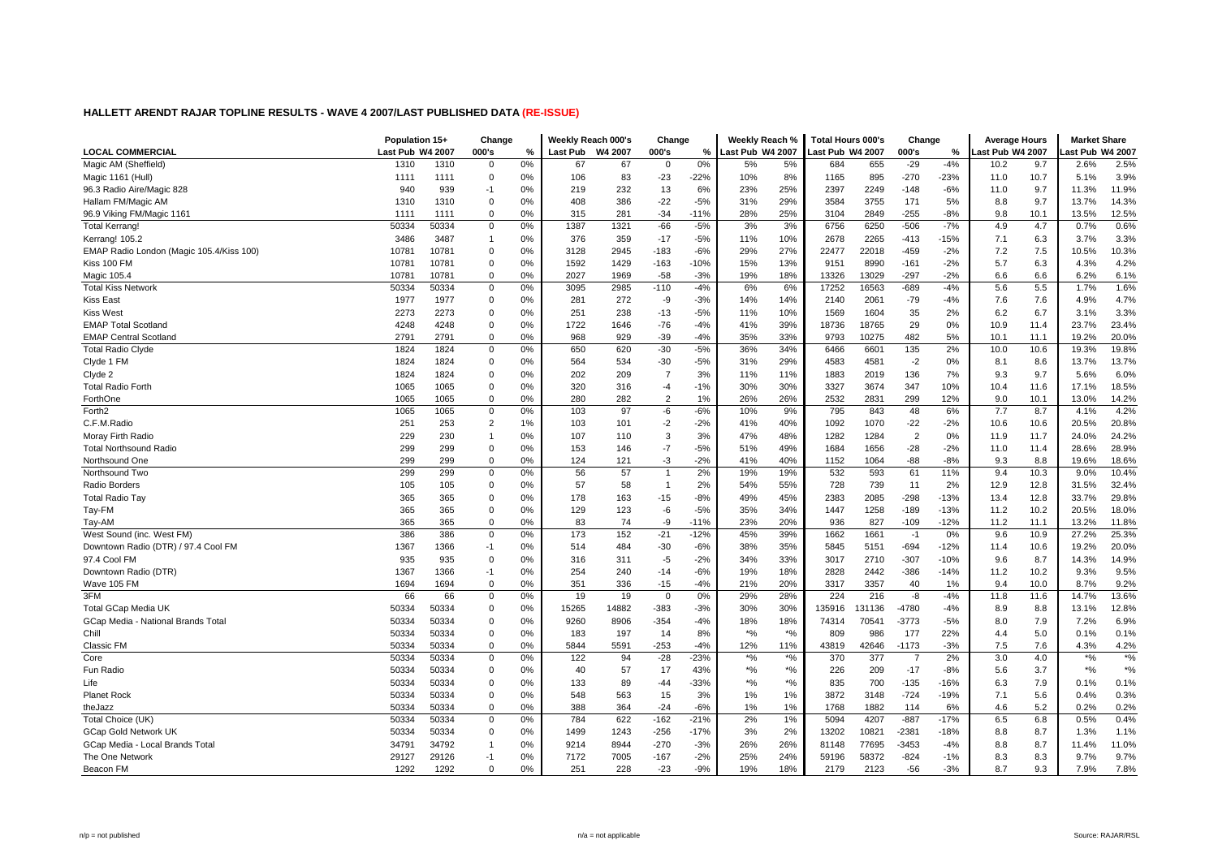|                                          | Population 15+   |       | Change         |    | Weekly Reach 000's |         | Change         |        | Weekly Reach %   |             | <b>Total Hours 000's</b> |        | Change         |        | <b>Average Hours</b> |      | <b>Market Share</b>            |       |
|------------------------------------------|------------------|-------|----------------|----|--------------------|---------|----------------|--------|------------------|-------------|--------------------------|--------|----------------|--------|----------------------|------|--------------------------------|-------|
| <b>LOCAL COMMERCIAL</b>                  | Last Pub W4 2007 |       | 000's          | %  | <b>Last Pub</b>    | W4 2007 | 000's          | %      | Last Pub W4 2007 |             | ast Pub W4 2007.         |        | 000's          | %      | ast Pub W4 2007.     |      | ast Pub W4 2007                |       |
| Magic AM (Sheffield)                     | 1310             | 1310  | $\Omega$       | 0% | 67                 | 67      | $\mathbf 0$    | 0%     | 5%               | 5%          | 684                      | 655    | $-29$          | $-4%$  | 10.2                 | 9.7  | 2.6%                           | 2.5%  |
| Magic 1161 (Hull)                        | 1111             | 1111  | $\Omega$       | 0% | 106                | 83      | $-23$          | $-22%$ | 10%              | 8%          | 1165                     | 895    | $-270$         | $-23%$ | 11.0                 | 10.7 | 5.1%                           | 3.9%  |
| 96.3 Radio Aire/Magic 828                | 940              | 939   | $-1$           | 0% | 219                | 232     | 13             | 6%     | 23%              | 25%         | 2397                     | 2249   | $-148$         | -6%    | 11.0                 | 9.7  | 11.3%                          | 11.9% |
| Hallam FM/Magic AM                       | 1310             | 1310  | $\Omega$       | 0% | 408                | 386     | $-22$          | $-5%$  | 31%              | 29%         | 3584                     | 3755   | 171            | 5%     | 8.8                  | 9.7  | 13.7%                          | 14.3% |
| 96.9 Viking FM/Magic 1161                | 1111             | 1111  | $\Omega$       | 0% | 315                | 281     | $-34$          | $-11%$ | 28%              | 25%         | 3104                     | 2849   | $-255$         | $-8%$  | 9.8                  | 10.1 | 13.5%                          | 12.5% |
| <b>Total Kerrang!</b>                    | 50334            | 50334 | $\Omega$       | 0% | 1387               | 1321    | $-66$          | $-5%$  | 3%               | 3%          | 6756                     | 6250   | $-506$         | $-7%$  | 4.9                  | 4.7  | 0.7%                           | 0.6%  |
| Kerrang! 105.2                           | 3486             | 3487  | $\overline{1}$ | 0% | 376                | 359     | $-17$          | $-5%$  | 11%              | 10%         | 2678                     | 2265   | $-413$         | $-15%$ | 7.1                  | 6.3  | 3.7%                           | 3.3%  |
| EMAP Radio London (Magic 105.4/Kiss 100) | 10781            | 10781 | $\Omega$       | 0% | 3128               | 2945    | $-183$         | $-6%$  | 29%              | 27%         | 22477                    | 22018  | $-459$         | $-2%$  | 7.2                  | 7.5  | 10.5%                          | 10.3% |
| Kiss 100 FM                              | 10781            | 10781 | $\Omega$       | 0% | 1592               | 1429    | $-163$         | $-10%$ | 15%              | 13%         | 9151                     | 8990   | $-161$         | $-2%$  | 5.7                  | 6.3  | 4.3%                           | 4.2%  |
| Magic 105.4                              | 10781            | 10781 | $\Omega$       | 0% | 2027               | 1969    | $-58$          | $-3%$  | 19%              | 18%         | 13326                    | 13029  | $-297$         | $-2%$  | 6.6                  | 6.6  | 6.2%                           | 6.1%  |
| <b>Total Kiss Network</b>                | 50334            | 50334 | $\Omega$       | 0% | 3095               | 2985    | $-110$         | $-4%$  | 6%               | 6%          | 17252                    | 16563  | $-689$         | $-4%$  | 5.6                  | 5.5  | 1.7%                           | 1.6%  |
| Kiss East                                | 1977             | 1977  | $\Omega$       | 0% | 281                | 272     | -9             | $-3%$  | 14%              | 14%         | 2140                     | 2061   | $-79$          | $-4%$  | 7.6                  | 7.6  | 4.9%                           | 4.7%  |
| <b>Kiss West</b>                         | 2273             | 2273  | $\Omega$       | 0% | 251                | 238     | $-13$          | $-5%$  | 11%              | 10%         | 1569                     | 1604   | 35             | 2%     | 6.2                  | 6.7  | 3.1%                           | 3.3%  |
| <b>EMAP Total Scotland</b>               | 4248             | 4248  | $\Omega$       | 0% | 1722               | 1646    | $-76$          | $-4%$  | 41%              | 39%         | 18736                    | 18765  | 29             | 0%     | 10.9                 | 11.4 | 23.7%                          | 23.4% |
| <b>EMAP Central Scotland</b>             | 2791             | 2791  | $\Omega$       | 0% | 968                | 929     | $-39$          | $-4%$  | 35%              | 33%         | 9793                     | 10275  | 482            | 5%     | 10.1                 | 11.1 | 19.2%                          | 20.0% |
| <b>Total Radio Clyde</b>                 | 1824             | 1824  | $\Omega$       | 0% | 650                | 620     | $-30$          | $-5%$  | 36%              | 34%         | 6466                     | 6601   | 135            | 2%     | 10.0                 | 10.6 | 19.3%                          | 19.8% |
| Clyde 1 FM                               | 1824             | 1824  | $\Omega$       | 0% | 564                | 534     | $-30$          | $-5%$  | 31%              | 29%         | 4583                     | 4581   | $-2$           | 0%     | 8.1                  | 8.6  | 13.7%                          | 13.7% |
| Clyde 2                                  | 1824             | 1824  | $\Omega$       | 0% | 202                | 209     | $\overline{7}$ | 3%     | 11%              | 11%         | 1883                     | 2019   | 136            | 7%     | 9.3                  | 9.7  | 5.6%                           | 6.0%  |
| <b>Total Radio Forth</b>                 | 1065             | 1065  | $\Omega$       | 0% | 320                | 316     | $-4$           | $-1%$  | 30%              | 30%         | 3327                     | 3674   | 347            | 10%    | 10.4                 | 11.6 | 17.1%                          | 18.5% |
| ForthOne                                 | 1065             | 1065  | $\Omega$       | 0% | 280                | 282     | $\overline{2}$ | 1%     | 26%              | 26%         | 2532                     | 2831   | 299            | 12%    | 9.0                  | 10.1 | 13.0%                          | 14.2% |
| Forth <sub>2</sub>                       | 1065             | 1065  | $\Omega$       | 0% | 103                | 97      | -6             | $-6%$  | 10%              | 9%          | 795                      | 843    | 48             | 6%     | 7.7                  | 8.7  | 4.1%                           | 4.2%  |
| C.F.M.Radio                              | 251              | 253   | $\overline{2}$ | 1% | 103                | 101     | $-2$           | $-2%$  | 41%              | 40%         | 1092                     | 1070   | $-22$          | $-2%$  | 10.6                 | 10.6 | 20.5%                          | 20.8% |
| Moray Firth Radio                        | 229              | 230   | $\mathbf{1}$   | 0% | 107                | 110     | 3              | 3%     | 47%              | 48%         | 1282                     | 1284   | $\overline{2}$ | 0%     | 11.9                 | 11.7 | 24.0%                          | 24.2% |
| <b>Total Northsound Radio</b>            | 299              | 299   | $\mathbf 0$    | 0% | 153                | 146     | $-7$           | -5%    | 51%              | 49%         | 1684                     | 1656   | $-28$          | $-2%$  | 11.0                 | 11.4 | 28.6%                          | 28.9% |
| Northsound One                           | 299              | 299   | $\Omega$       | 0% | 124                | 121     | $-3$           | $-2%$  | 41%              | 40%         | 1152                     | 1064   | $-88$          | $-8%$  | 9.3                  | 8.8  | 19.6%                          | 18.6% |
| Northsound Two                           | 299              | 299   | $\Omega$       | 0% | 56                 | 57      | $\overline{1}$ | 2%     | 19%              | 19%         | 532                      | 593    | 61             | 11%    | 9.4                  | 10.3 | 9.0%                           | 10.4% |
| Radio Borders                            | 105              | 105   | $\Omega$       | 0% | 57                 | 58      | $\overline{1}$ | 2%     | 54%              | 55%         | 728                      | 739    | 11             | 2%     | 12.9                 | 12.8 | 31.5%                          | 32.4% |
| Total Radio Tay                          | 365              | 365   | $\Omega$       | 0% | 178                | 163     | $-15$          | $-8%$  | 49%              | 45%         | 2383                     | 2085   | $-298$         | $-13%$ | 13.4                 | 12.8 | 33.7%                          | 29.8% |
| Tay-FM                                   | 365              | 365   | $\Omega$       | 0% | 129                | 123     | -6             | $-5%$  | 35%              | 34%         | 1447                     | 1258   | $-189$         | $-13%$ | 11.2                 | 10.2 | 20.5%                          | 18.0% |
| Tay-AM                                   | 365              | 365   | $\Omega$       | 0% | 83                 | 74      | -9             | $-11%$ | 23%              | 20%         | 936                      | 827    | $-109$         | $-12%$ | 11.2                 | 11.1 | 13.2%                          | 11.8% |
| West Sound (inc. West FM)                | 386              | 386   | $\Omega$       | 0% | 173                | 152     | $-21$          | $-12%$ | 45%              | 39%         | 1662                     | 1661   | $-1$           | 0%     | 9.6                  | 10.9 | 27.2%                          | 25.3% |
| Downtown Radio (DTR) / 97.4 Cool FM      | 1367             | 1366  | $-1$           | 0% | 514                | 484     | $-30$          | $-6%$  | 38%              | 35%         | 5845                     | 5151   | $-694$         | $-12%$ | 11.4                 | 10.6 | 19.2%                          | 20.0% |
| 97.4 Cool FM                             | 935              | 935   | $\Omega$       | 0% | 316                | 311     | $-5$           | $-2%$  | 34%              | 33%         | 3017                     | 2710   | $-307$         | $-10%$ | 9.6                  | 8.7  | 14.3%                          | 14.9% |
| Downtown Radio (DTR)                     | 1367             | 1366  | $-1$           | 0% | 254                | 240     | $-14$          | $-6%$  | 19%              | 18%         | 2828                     | 2442   | $-386$         | $-14%$ | 11.2                 | 10.2 | 9.3%                           | 9.5%  |
| Wave 105 FM                              | 1694             | 1694  | $\Omega$       | 0% | 351                | 336     | $-15$          | $-4%$  | 21%              | 20%         | 3317                     | 3357   | 40             | 1%     | 9.4                  | 10.0 | 8.7%                           | 9.2%  |
| 3FM                                      | 66               | 66    | $\Omega$       | 0% | 19                 | 19      | $\mathbf 0$    | 0%     | 29%              | 28%         | 224                      | 216    | -8             | $-4%$  | 11.8                 | 11.6 | 14.7%                          | 13.6% |
| Total GCap Media UK                      | 50334            | 50334 | $\Omega$       | 0% | 15265              | 14882   | $-383$         | $-3%$  | 30%              | 30%         | 135916                   | 131136 | -4780          | $-4%$  | 8.9                  | 8.8  | 13.1%                          | 12.8% |
| GCap Media - National Brands Total       | 50334            | 50334 | $\Omega$       | 0% | 9260               | 8906    | $-354$         | $-4%$  | 18%              | 18%         | 74314                    | 70541  | $-3773$        | $-5%$  | 8.0                  | 7.9  | 7.2%                           | 6.9%  |
| Chill                                    | 50334            | 50334 | $\mathbf 0$    | 0% | 183                | 197     | 14             | 8%     | $*$ %            | $*$ %       | 809                      | 986    | 177            | 22%    | 4.4                  | 5.0  | 0.1%                           | 0.1%  |
| Classic FM                               | 50334            | 50334 | $\Omega$       | 0% | 5844               | 5591    | -253           | $-4%$  | 12%              | 11%         | 43819                    | 42646  | $-1173$        | $-3%$  | 7.5                  | 7.6  | 4.3%                           | 4.2%  |
| Core                                     | 50334            | 50334 | $\Omega$       | 0% | 122                | 94      | $-28$          | $-23%$ | $*9/6$           | $\star o_0$ | 370                      | 377    | $\overline{7}$ | 2%     | 3.0                  | 4.0  | $*9/6$                         | $*$ % |
| Fun Radio                                | 50334            | 50334 | $\Omega$       | 0% | 40                 | 57      | 17             | 43%    | $*9/6$           | $*_{\%}$    | 226                      | 209    | $-17$          | $-8%$  | 5.6                  | 3.7  | $\star\mathrm{o}_{\mathrm{6}}$ | $*$ % |
| Life                                     | 50334            | 50334 | $\Omega$       | 0% | 133                | 89      | $-44$          | -33%   | $*$ %            | $*_{\%}$    | 835                      | 700    | $-135$         | $-16%$ | 6.3                  | 7.9  | 0.1%                           | 0.1%  |
| <b>Planet Rock</b>                       | 50334            | 50334 | $\Omega$       | 0% | 548                | 563     | 15             | 3%     | 1%               | 1%          | 3872                     | 3148   | $-724$         | $-19%$ | 7.1                  | 5.6  | 0.4%                           | 0.3%  |
| theJazz                                  | 50334            | 50334 | $\Omega$       | 0% | 388                | 364     | $-24$          | $-6%$  | 1%               | 1%          | 1768                     | 1882   | 114            | 6%     | 4.6                  | 5.2  | 0.2%                           | 0.2%  |
| Total Choice (UK)                        | 50334            | 50334 | $\Omega$       | 0% | 784                | 622     | $-162$         | $-21%$ | 2%               | 1%          | 5094                     | 4207   | $-887$         | $-17%$ | 6.5                  | 6.8  | 0.5%                           | 0.4%  |
| <b>GCap Gold Network UK</b>              | 50334            | 50334 | $\Omega$       | 0% | 1499               | 1243    | $-256$         | $-17%$ | 3%               | 2%          | 13202                    | 10821  | $-2381$        | $-18%$ | 8.8                  | 8.7  | 1.3%                           | 1.1%  |
| GCap Media - Local Brands Total          | 34791            | 34792 | $\overline{1}$ | 0% | 9214               | 8944    | $-270$         | $-3%$  | 26%              | 26%         | 81148                    | 77695  | $-3453$        | $-4%$  | 8.8                  | 8.7  | 11.4%                          | 11.0% |
| The One Network                          | 29127            | 29126 | $-1$           | 0% | 7172               | 7005    | $-167$         | $-2%$  | 25%              | 24%         | 59196                    | 58372  | $-824$         | $-1%$  | 8.3                  | 8.3  | 9.7%                           | 9.7%  |
| Beacon FM                                | 1292             | 1292  | $\Omega$       | 0% | 251                | 228     | $-23$          | $-9%$  | 19%              | 18%         | 2179                     | 2123   | $-56$          | $-3%$  | 8.7                  | 9.3  | 7.9%                           | 7.8%  |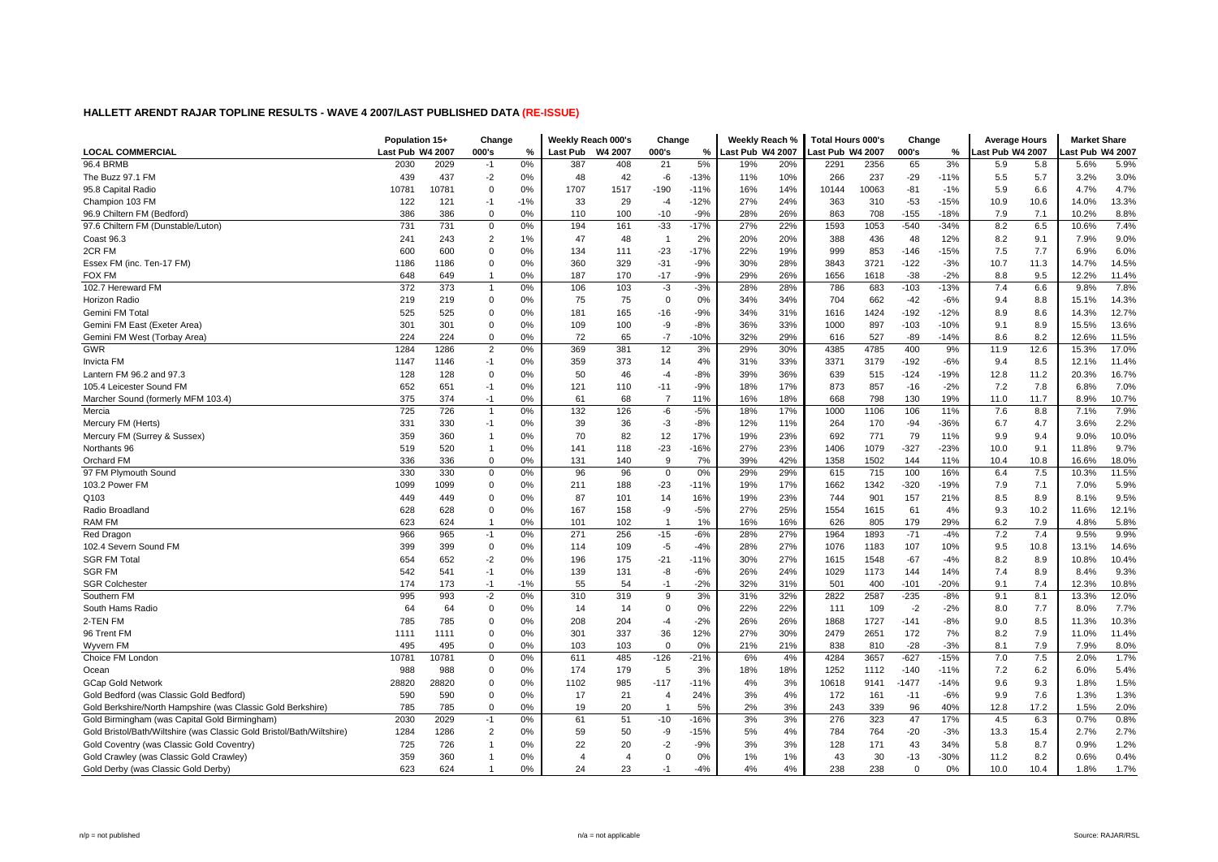|                                                                       | Population 15+   |       | Change         |       | Weekly Reach 000's |                | Change         |        | Weekly Reach %   |     | <b>Total Hours 000's</b> |       | Change      |        | <b>Average Hours</b> |      | <b>Market Share</b> |       |
|-----------------------------------------------------------------------|------------------|-------|----------------|-------|--------------------|----------------|----------------|--------|------------------|-----|--------------------------|-------|-------------|--------|----------------------|------|---------------------|-------|
| <b>LOCAL COMMERCIAL</b>                                               | Last Pub W4 2007 |       | 000's          | %     | <b>Last Pub</b>    | W4 2007        | 000's          | %      | Last Pub W4 2007 |     | ast Pub W4 2007          |       | 000's       | %      | ast Pub W4 2007.     |      | ast Pub W4 2007     |       |
| 96.4 BRMB                                                             | 2030             | 2029  | $-1$           | 0%    | 387                | 408            | 21             | 5%     | 19%              | 20% | 2291                     | 2356  | 65          | 3%     | 5.9                  | 5.8  | 5.6%                | 5.9%  |
| The Buzz 97.1 FM                                                      | 439              | 437   | $-2$           | 0%    | 48                 | 42             | -6             | $-13%$ | 11%              | 10% | 266                      | 237   | $-29$       | $-11%$ | 5.5                  | 5.7  | 3.2%                | 3.0%  |
| 95.8 Capital Radio                                                    | 10781            | 10781 | $\mathbf 0$    | 0%    | 1707               | 1517           | -190           | $-11%$ | 16%              | 14% | 10144                    | 10063 | -81         | $-1%$  | 5.9                  | 6.6  | 4.7%                | 4.7%  |
| Champion 103 FM                                                       | 122              | 121   | $-1$           | $-1%$ | 33                 | 29             | $-4$           | $-12%$ | 27%              | 24% | 363                      | 310   | $-53$       | $-15%$ | 10.9                 | 10.6 | 14.0%               | 13.3% |
| 96.9 Chiltern FM (Bedford)                                            | 386              | 386   | $\Omega$       | 0%    | 110                | 100            | $-10$          | $-9%$  | 28%              | 26% | 863                      | 708   | $-155$      | $-18%$ | 7.9                  | 7.1  | 10.2%               | 8.8%  |
| 97.6 Chiltern FM (Dunstable/Luton)                                    | 731              | 731   | $\mathbf 0$    | 0%    | 194                | 161            | $-33$          | $-17%$ | 27%              | 22% | 1593                     | 1053  | $-540$      | $-34%$ | 8.2                  | 6.5  | 10.6%               | 7.4%  |
| Coast 96.3                                                            | 241              | 243   | $\overline{2}$ | 1%    | 47                 | 48             | -1             | 2%     | 20%              | 20% | 388                      | 436   | 48          | 12%    | 8.2                  | 9.1  | 7.9%                | 9.0%  |
| 2CR FM                                                                | 600              | 600   | $\mathbf 0$    | 0%    | 134                | 111            | $-23$          | $-17%$ | 22%              | 19% | 999                      | 853   | $-146$      | $-15%$ | 7.5                  | 7.7  | 6.9%                | 6.0%  |
| Essex FM (inc. Ten-17 FM)                                             | 1186             | 1186  | $\mathbf 0$    | 0%    | 360                | 329            | $-31$          | $-9%$  | 30%              | 28% | 3843                     | 3721  | $-122$      | $-3%$  | 10.7                 | 11.3 | 14.7%               | 14.5% |
| FOX FM                                                                | 648              | 649   | $\overline{1}$ | 0%    | 187                | 170            | $-17$          | $-9%$  | 29%              | 26% | 1656                     | 1618  | $-38$       | $-2%$  | 8.8                  | 9.5  | 12.2%               | 11.4% |
| 102.7 Hereward FM                                                     | 372              | 373   | $\mathbf{1}$   | 0%    | 106                | 103            | $-3$           | $-3%$  | 28%              | 28% | 786                      | 683   | $-103$      | $-13%$ | 7.4                  | 6.6  | 9.8%                | 7.8%  |
| Horizon Radio                                                         | 219              | 219   | $\mathbf 0$    | 0%    | 75                 | 75             | $\mathbf 0$    | 0%     | 34%              | 34% | 704                      | 662   | $-42$       | $-6%$  | 9.4                  | 8.8  | 15.1%               | 14.3% |
| Gemini FM Total                                                       | 525              | 525   | $\mathbf 0$    | 0%    | 181                | 165            | $-16$          | $-9%$  | 34%              | 31% | 1616                     | 1424  | $-192$      | $-12%$ | 8.9                  | 8.6  | 14.3%               | 12.7% |
| Gemini FM East (Exeter Area)                                          | 301              | 301   | $\Omega$       | 0%    | 109                | 100            | -9             | $-8%$  | 36%              | 33% | 1000                     | 897   | $-103$      | $-10%$ | 9.1                  | 8.9  | 15.5%               | 13.6% |
| Gemini FM West (Torbay Area)                                          | 224              | 224   | $\Omega$       | 0%    | 72                 | 65             | $-7$           | $-10%$ | 32%              | 29% | 616                      | 527   | $-89$       | $-14%$ | 8.6                  | 8.2  | 12.6%               | 11.5% |
| GWR                                                                   | 1284             | 1286  | $\overline{2}$ | 0%    | 369                | 381            | 12             | 3%     | 29%              | 30% | 4385                     | 4785  | 400         | 9%     | 11.9                 | 12.6 | 15.3%               | 17.0% |
| <b>Invicta FM</b>                                                     | 1147             | 1146  | $-1$           | 0%    | 359                | 373            | 14             | 4%     | 31%              | 33% | 3371                     | 3179  | $-192$      | $-6%$  | 9.4                  | 8.5  | 12.1%               | 11.4% |
| Lantern FM 96.2 and 97.3                                              | 128              | 128   | $\mathbf 0$    | 0%    | 50                 | 46             | $-4$           | $-8%$  | 39%              | 36% | 639                      | 515   | $-124$      | $-19%$ | 12.8                 | 11.2 | 20.3%               | 16.7% |
| 105.4 Leicester Sound FM                                              | 652              | 651   | $-1$           | 0%    | 121                | 110            | $-11$          | $-9%$  | 18%              | 17% | 873                      | 857   | $-16$       | $-2%$  | 7.2                  | 7.8  | 6.8%                | 7.0%  |
| Marcher Sound (formerly MFM 103.4)                                    | 375              | 374   | $-1$           | 0%    | 61                 | 68             | $\overline{7}$ | 11%    | 16%              | 18% | 668                      | 798   | 130         | 19%    | 11.0                 | 11.7 | 8.9%                | 10.7% |
| Mercia                                                                | 725              | 726   | $\overline{1}$ | 0%    | 132                | 126            | $-6$           | $-5%$  | 18%              | 17% | 1000                     | 1106  | 106         | 11%    | 7.6                  | 8.8  | 7.1%                | 7.9%  |
| Mercury FM (Herts)                                                    | 331              | 330   | $-1$           | 0%    | 39                 | 36             | $-3$           | $-8%$  | 12%              | 11% | 264                      | 170   | $-94$       | $-36%$ | 6.7                  | 4.7  | 3.6%                | 2.2%  |
| Mercury FM (Surrey & Sussex)                                          | 359              | 360   | $\mathbf 1$    | 0%    | 70                 | 82             | 12             | 17%    | 19%              | 23% | 692                      | 771   | 79          | 11%    | 9.9                  | 9.4  | 9.0%                | 10.0% |
| Northants 96                                                          | 519              | 520   | $\mathbf{1}$   | 0%    | 141                | 118            | $-23$          | $-16%$ | 27%              | 23% | 1406                     | 1079  | $-327$      | $-23%$ | 10.0                 | 9.1  | 11.8%               | 9.7%  |
| Orchard FM                                                            | 336              | 336   | $\Omega$       | 0%    | 131                | 140            | 9              | 7%     | 39%              | 42% | 1358                     | 1502  | 144         | 11%    | 10.4                 | 10.8 | 16.6%               | 18.0% |
| 97 FM Plymouth Sound                                                  | 330              | 330   | $\Omega$       | 0%    | 96                 | 96             | $\mathbf 0$    | 0%     | 29%              | 29% | 615                      | 715   | 100         | 16%    | 6.4                  | 7.5  | 10.3%               | 11.5% |
| 103.2 Power FM                                                        | 1099             | 1099  | $\mathbf 0$    | 0%    | 211                | 188            | $-23$          | $-11%$ | 19%              | 17% | 1662                     | 1342  | $-320$      | $-19%$ | 7.9                  | 7.1  | 7.0%                | 5.9%  |
| Q103                                                                  | 449              | 449   | $\mathbf 0$    | 0%    | 87                 | 101            | 14             | 16%    | 19%              | 23% | 744                      | 901   | 157         | 21%    | 8.5                  | 8.9  | 8.1%                | 9.5%  |
| Radio Broadland                                                       | 628              | 628   | $\mathbf 0$    | 0%    | 167                | 158            | -9             | $-5%$  | 27%              | 25% | 1554                     | 1615  | 61          | 4%     | 9.3                  | 10.2 | 11.6%               | 12.1% |
| RAM FM                                                                | 623              | 624   | $\mathbf{1}$   | 0%    | 101                | 102            | $\mathbf{1}$   | 1%     | 16%              | 16% | 626                      | 805   | 179         | 29%    | 6.2                  | 7.9  | 4.8%                | 5.8%  |
| Red Dragon                                                            | 966              | 965   | $-1$           | 0%    | 271                | 256            | $-15$          | $-6%$  | 28%              | 27% | 1964                     | 1893  | $-71$       | $-4%$  | 7.2                  | 7.4  | 9.5%                | 9.9%  |
| 102.4 Severn Sound FM                                                 | 399              | 399   | $\mathbf 0$    | 0%    | 114                | 109            | $-5$           | $-4%$  | 28%              | 27% | 1076                     | 1183  | 107         | 10%    | 9.5                  | 10.8 | 13.1%               | 14.6% |
| <b>SGR FM Total</b>                                                   | 654              | 652   | $-2$           | 0%    | 196                | 175            | $-21$          | $-11%$ | 30%              | 27% | 1615                     | 1548  | $-67$       | $-4%$  | 8.2                  | 8.9  | 10.8%               | 10.4% |
| <b>SGR FM</b>                                                         | 542              | 541   | $-1$           | 0%    | 139                | 131            | -8             | $-6%$  | 26%              | 24% | 1029                     | 1173  | 144         | 14%    | 7.4                  | 8.9  | 8.4%                | 9.3%  |
| <b>SGR Colchester</b>                                                 | 174              | 173   | $-1$           | $-1%$ | 55                 | 54             | $-1$           | $-2%$  | 32%              | 31% | 501                      | 400   | $-101$      | -20%   | 9.1                  | 7.4  | 12.3%               | 10.8% |
| Southern FM                                                           | 995              | 993   | $-2$           | 0%    | 310                | 319            | 9              | 3%     | 31%              | 32% | 2822                     | 2587  | $-235$      | $-8%$  | 9.1                  | 8.1  | 13.3%               | 12.0% |
| South Hams Radio                                                      | 64               | 64    | $\mathbf 0$    | 0%    | 14                 | 14             | $\mathbf 0$    | 0%     | 22%              | 22% | 111                      | 109   | $-2$        | $-2%$  | 8.0                  | 7.7  | 8.0%                | 7.7%  |
| 2-TEN FM                                                              | 785              | 785   | $\mathbf 0$    | 0%    | 208                | 204            | $-4$           | $-2%$  | 26%              | 26% | 1868                     | 1727  | $-141$      | $-8%$  | 9.0                  | 8.5  | 11.3%               | 10.3% |
| 96 Trent FM                                                           | 1111             | 1111  | $\mathbf 0$    | 0%    | 301                | 337            | 36             | 12%    | 27%              | 30% | 2479                     | 2651  | 172         | 7%     | 8.2                  | 7.9  | 11.0%               | 11.4% |
| <b>Wyvern FM</b>                                                      | 495              | 495   | $\Omega$       | 0%    | 103                | 103            | $\Omega$       | 0%     | 21%              | 21% | 838                      | 810   | $-28$       | $-3%$  | 8.1                  | 7.9  | 7.9%                | 8.0%  |
| Choice FM London                                                      | 10781            | 10781 | $\Omega$       | 0%    | 611                | 485            | $-126$         | $-21%$ | 6%               | 4%  | 4284                     | 3657  | $-627$      | $-15%$ | 7.0                  | 7.5  | 2.0%                | 1.7%  |
| Ocean                                                                 | 988              | 988   | $\Omega$       | 0%    | 174                | 179            | 5              | 3%     | 18%              | 18% | 1252                     | 1112  | $-140$      | $-11%$ | 7.2                  | 6.2  | 6.0%                | 5.4%  |
| <b>GCap Gold Network</b>                                              | 28820            | 28820 | $\mathbf 0$    | 0%    | 1102               | 985            | $-117$         | $-11%$ | 4%               | 3%  | 10618                    | 9141  | $-1477$     | $-14%$ | 9.6                  | 9.3  | 1.8%                | 1.5%  |
| Gold Bedford (was Classic Gold Bedford)                               | 590              | 590   | $\mathbf 0$    | 0%    | 17                 | 21             | $\overline{4}$ | 24%    | 3%               | 4%  | 172                      | 161   | $-11$       | $-6%$  | 9.9                  | 7.6  | 1.3%                | 1.3%  |
| Gold Berkshire/North Hampshire (was Classic Gold Berkshire)           | 785              | 785   | $\mathbf 0$    | 0%    | 19                 | 20             | $\mathbf{1}$   | 5%     | 2%               | 3%  | 243                      | 339   | 96          | 40%    | 12.8                 | 17.2 | 1.5%                | 2.0%  |
| Gold Birmingham (was Capital Gold Birmingham)                         | 2030             | 2029  | $-1$           | 0%    | 61                 | 51             | $-10$          | $-16%$ | 3%               | 3%  | 276                      | 323   | 47          | 17%    | 4.5                  | 6.3  | 0.7%                | 0.8%  |
| Gold Bristol/Bath/Wiltshire (was Classic Gold Bristol/Bath/Wiltshire) | 1284             | 1286  | 2              | 0%    | 59                 | 50             | -9             | $-15%$ | 5%               | 4%  | 784                      | 764   | $-20$       | $-3%$  | 13.3                 | 15.4 | 2.7%                | 2.7%  |
| Gold Coventry (was Classic Gold Coventry)                             | 725              | 726   | $\mathbf{1}$   | 0%    | 22                 | 20             | $-2$           | $-9%$  | 3%               | 3%  | 128                      | 171   | 43          | 34%    | 5.8                  | 8.7  | 0.9%                | 1.2%  |
| Gold Crawley (was Classic Gold Crawley)                               | 359              | 360   | -1             | 0%    | 4                  | $\overline{4}$ | $\mathbf 0$    | 0%     | 1%               | 1%  | 43                       | 30    | $-13$       | $-30%$ | 11.2                 | 8.2  | 0.6%                | 0.4%  |
| Gold Derby (was Classic Gold Derby)                                   | 623              | 624   |                | 0%    | 24                 | 23             | -1             | $-4%$  | 4%               | 4%  | 238                      | 238   | $\mathbf 0$ | 0%     | 10.0                 | 10.4 | 1.8%                | 1.7%  |
|                                                                       |                  |       |                |       |                    |                |                |        |                  |     |                          |       |             |        |                      |      |                     |       |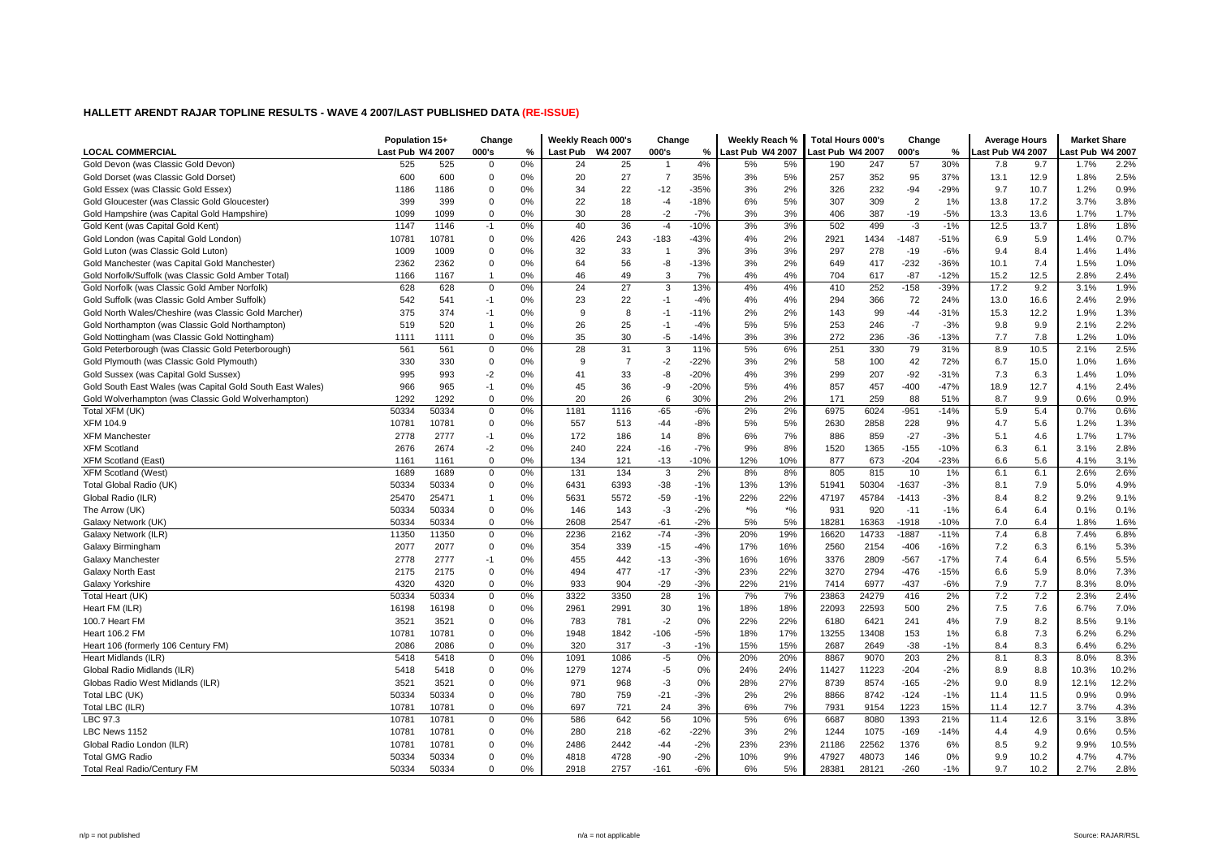| <b>LOCAL COMMERCIAL</b><br>Last Pub W4 2007<br>000's<br>W4 2007<br>000's<br>Last Pub W4 2007<br>ast Pub W4 2007<br>000's<br>ast Pub W4 2007<br>ast Pub W4 2007<br>%<br>Last Pub<br>%<br>%<br>0%<br>4%<br>5%<br>30%<br>Gold Devon (was Classic Gold Devon)<br>525<br>525<br>$\mathbf 0$<br>24<br>25<br>5%<br>190<br>247<br>57<br>9.7<br>1.7%<br>2.2%<br>7.8<br>-1<br>2.5%<br>Gold Dorset (was Classic Gold Dorset)<br>600<br>600<br>$\mathbf 0$<br>0%<br>27<br>$\overline{7}$<br>35%<br>3%<br>5%<br>257<br>352<br>95<br>37%<br>13.1<br>12.9<br>1.8%<br>20<br>22<br>$-35%$<br>2%<br>0.9%<br>0<br>0%<br>$-12$<br>3%<br>326<br>232<br>$-94$<br>$-29%$<br>10.7<br>1.2%<br>Gold Essex (was Classic Gold Essex)<br>1186<br>1186<br>34<br>9.7<br>399<br>399<br>$\Omega$<br>0%<br>18<br>$-4$<br>$-18%$<br>6%<br>5%<br>307<br>309<br>2<br>1%<br>13.8<br>17.2<br>3.7%<br>3.8%<br>Gold Gloucester (was Classic Gold Gloucester)<br>22<br>$-2$<br>3%<br>3%<br>13.6<br>1.7%<br>Gold Hampshire (was Capital Gold Hampshire)<br>1099<br>1099<br>$\Omega$<br>0%<br>30<br>28<br>$-7%$<br>406<br>387<br>$-19$<br>$-5%$<br>13.3<br>1.7%<br>1.8%<br>1146<br>0%<br>40<br>36<br>$-4$<br>$-10%$<br>3%<br>3%<br>502<br>$-3$<br>$-1%$<br>12.5<br>13.7<br>Gold Kent (was Capital Gold Kent)<br>1147<br>$-1$<br>499<br>1.8%<br>0.7%<br>Gold London (was Capital Gold London)<br>10781<br>$\Omega$<br>0%<br>426<br>243<br>$-183$<br>$-43%$<br>4%<br>2%<br>2921<br>1434<br>$-1487$<br>5.9<br>10781<br>$-51%$<br>6.9<br>1.4%<br>Gold Luton (was Classic Gold Luton)<br>1009<br>1009<br>$\mathbf 0$<br>0%<br>32<br>33<br>3%<br>3%<br>3%<br>297<br>278<br>$-19$<br>$-6%$<br>8.4<br>1.4%<br>1.4%<br>$\mathbf{1}$<br>9.4<br>2362<br>$\mathbf 0$<br>0%<br>56<br>-8<br>$-13%$<br>3%<br>2%<br>649<br>417<br>$-232$<br>$-36%$<br>7.4<br>1.5%<br>1.0%<br>Gold Manchester (was Capital Gold Manchester)<br>2362<br>64<br>10.1<br>0%<br>3<br>7%<br>4%<br>4%<br>$-87$<br>$-12%$<br>12.5<br>2.4%<br>Gold Norfolk/Suffolk (was Classic Gold Amber Total)<br>1166<br>1167<br>$\mathbf{1}$<br>46<br>49<br>704<br>617<br>15.2<br>2.8%<br>27<br>1.9%<br>Gold Norfolk (was Classic Gold Amber Norfolk)<br>628<br>$\mathbf 0$<br>0%<br>24<br>3<br>13%<br>4%<br>4%<br>410<br>252<br>$-158$<br>$-39%$<br>17.2<br>9.2<br>3.1%<br>628<br>22<br>2.9%<br>Gold Suffolk (was Classic Gold Amber Suffolk)<br>542<br>541<br>$-1$<br>0%<br>23<br>$-1$<br>$-4%$<br>4%<br>4%<br>294<br>366<br>72<br>24%<br>13.0<br>16.6<br>2.4%<br>1.3%<br>Gold North Wales/Cheshire (was Classic Gold Marcher)<br>375<br>374<br>0%<br>9<br>8<br>$-11%$<br>2%<br>2%<br>143<br>99<br>$-44$<br>$-31%$<br>15.3<br>12.2<br>1.9%<br>$-1$<br>$-1$<br>25<br>5%<br>$-7$<br>9.9<br>2.2%<br>0%<br>26<br>$-4%$<br>5%<br>253<br>246<br>$-3%$<br>2.1%<br>Gold Northampton (was Classic Gold Northampton)<br>519<br>520<br>$\mathbf{1}$<br>$-1$<br>9.8<br>$\Omega$<br>0%<br>35<br>30<br>$-5$<br>$-14%$<br>3%<br>3%<br>272<br>236<br>$-36$<br>$-13%$<br>7.7<br>7.8<br>1.2%<br>1.0%<br>Gold Nottingham (was Classic Gold Nottingham)<br>1111<br>1111<br>2.5%<br>0%<br>31<br>3<br>5%<br>6%<br>251<br>330<br>79<br>31%<br>8.9<br>10.5<br>Gold Peterborough (was Classic Gold Peterborough)<br>561<br>561<br>$\mathbf 0$<br>28<br>11%<br>2.1%<br>$\overline{7}$<br>58<br>1.6%<br>Gold Plymouth (was Classic Gold Plymouth)<br>330<br>330<br>$\mathbf 0$<br>0%<br>9<br>$-2$<br>$-22%$<br>3%<br>2%<br>100<br>42<br>72%<br>6.7<br>15.0<br>1.0%<br>$-2$<br>$-92$<br>1.0%<br>Gold Sussex (was Capital Gold Sussex)<br>995<br>993<br>0%<br>41<br>33<br>-8<br>$-20%$<br>4%<br>3%<br>299<br>207<br>$-31%$<br>6.3<br>1.4%<br>7.3<br>Gold South East Wales (was Capital Gold South East Wales)<br>966<br>965<br>$-1$<br>0%<br>36<br>-9<br>$-20%$<br>5%<br>4%<br>857<br>457<br>$-400$<br>$-47%$<br>18.9<br>12.7<br>4.1%<br>2.4%<br>45<br>Gold Wolverhampton (was Classic Gold Wolverhampton)<br>1292<br>0%<br>26<br>30%<br>2%<br>88<br>9.9<br>0.9%<br>1292<br>$\Omega$<br>20<br>6<br>2%<br>171<br>259<br>51%<br>8.7<br>0.6%<br>2%<br>0.6%<br>Total XFM (UK)<br>50334<br>50334<br>0%<br>$-65$<br>$-6%$<br>2%<br>6975<br>6024<br>$-951$<br>$-14%$<br>5.9<br>5.4<br>$\mathbf 0$<br>1181<br>1116<br>0.7%<br><b>XFM 104.9</b><br>10781<br>$\mathbf 0$<br>$5\%$<br>2630<br>2858<br>228<br>5.6<br>1.3%<br>10781<br>0%<br>557<br>513<br>$-44$<br>$-8%$<br>5%<br>9%<br>4.7<br>1.2%<br><b>XFM Manchester</b><br>2778<br>2777<br>$-1$<br>0%<br>172<br>186<br>14<br>8%<br>6%<br>7%<br>886<br>859<br>$-27$<br>$-3%$<br>4.6<br>1.7%<br>1.7%<br>5.1<br>8%<br><b>XFM Scotland</b><br>2676<br>2674<br>$-2$<br>0%<br>240<br>224<br>$-16$<br>$-7%$<br>9%<br>1520<br>$-155$<br>$-10%$<br>6.1<br>3.1%<br>2.8%<br>1365<br>6.3<br>0%<br>$-10%$<br>10%<br>$-204$<br>$-23%$<br>5.6<br>3.1%<br><b>XFM Scotland (East)</b><br>1161<br>1161<br>$\Omega$<br>134<br>121<br>$-13$<br>12%<br>877<br>673<br>6.6<br>4.1%<br>2.6%<br><b>XFM Scotland (West)</b><br>1689<br>1689<br>$\Omega$<br>0%<br>131<br>134<br>3<br>2%<br>8%<br>8%<br>805<br>815<br>10<br>1%<br>6.1<br>6.1<br>2.6%<br>50334<br>50334<br>50304<br>$-1637$<br>4.9%<br>Total Global Radio (UK)<br>$\mathbf 0$<br>0%<br>6431<br>6393<br>$-38$<br>$-1%$<br>13%<br>13%<br>51941<br>$-3%$<br>7.9<br>5.0%<br>8.1<br>9.1%<br>Global Radio (ILR)<br>25470<br>25471<br>0%<br>5631<br>5572<br>$-59$<br>$-1%$<br>22%<br>22%<br>47197<br>45784<br>$-1413$<br>$-3%$<br>8.4<br>8.2<br>9.2%<br>$\mathbf{1}$<br>$*$ %<br>50334<br>$*$ %<br>6.4<br>50334<br>$\mathbf 0$<br>0%<br>$-3$<br>$-2%$<br>931<br>920<br>$-11$<br>$-1%$<br>0.1%<br>0.1%<br>The Arrow (UK)<br>146<br>143<br>6.4<br>50334<br>50334<br>$\Omega$<br>0%<br>2608<br>2547<br>$-61$<br>$-2%$<br>5%<br>5%<br>18281<br>16363<br>$-1918$<br>$-10%$<br>6.4<br>1.6%<br>Galaxy Network (UK)<br>7.0<br>1.8%<br>$-3%$<br>19%<br>6.8%<br>Galaxy Network (ILR)<br>11350<br>11350<br>$\mathbf 0$<br>0%<br>2236<br>2162<br>$-74$<br>20%<br>16620<br>14733<br>$-1887$<br>$-11%$<br>7.4<br>6.8<br>7.4%<br>5.3%<br>Galaxy Birmingham<br>2077<br>2077<br>$\mathbf 0$<br>0%<br>354<br>339<br>$-15$<br>$-4%$<br>17%<br>16%<br>2560<br>2154<br>$-406$<br>$-16%$<br>7.2<br>6.3<br>6.1%<br>$-3%$<br>16%<br>$-17%$<br>6.4<br>5.5%<br>2778<br>2777<br>$-1$<br>0%<br>455<br>442<br>$-13$<br>16%<br>3376<br>2809<br>$-567$<br>7.4<br>6.5%<br>Galaxy Manchester<br>3270<br>7.3%<br>2175<br>2175<br>$\mathbf 0$<br>0%<br>494<br>477<br>$-17$<br>$-3%$<br>23%<br>22%<br>2794<br>$-476$<br>$-15%$<br>6.6<br>5.9<br>8.0%<br>Galaxy North East<br>Galaxy Yorkshire<br>4320<br>$\Omega$<br>0%<br>933<br>904<br>$-29$<br>$-3%$<br>22%<br>21%<br>7414<br>6977<br>$-437$<br>7.9<br>7.7<br>8.0%<br>4320<br>$-6%$<br>8.3%<br>7.2<br>50334<br>50334<br>0%<br>3322<br>3350<br>28<br>1%<br>7%<br>7%<br>23863<br>2%<br>7.2<br>2.4%<br>Total Heart (UK)<br>$\mathbf 0$<br>24279<br>416<br>2.3%<br>16198<br>30<br>18%<br>18%<br>22093<br>22593<br>2%<br>7.0%<br>Heart FM (ILR)<br>16198<br>$\Omega$<br>0%<br>2961<br>2991<br>1%<br>500<br>7.5<br>7.6<br>6.7%<br>22%<br>4%<br>9.1%<br>100.7 Heart FM<br>3521<br>3521<br>$\mathbf 0$<br>0%<br>783<br>781<br>$-2$<br>0%<br>22%<br>6180<br>6421<br>241<br>7.9<br>8.2<br>8.5%<br>7.3<br>6.2%<br>10781<br>$\mathbf 0$<br>0%<br>1948<br>1842<br>$-106$<br>$-5%$<br>18%<br>17%<br>13255<br>13408<br>153<br>1%<br>6.8<br>6.2%<br>Heart 106.2 FM<br>10781<br>$-1%$<br>15%<br>8.3<br>$\Omega$<br>0%<br>$-3$<br>15%<br>$-38$<br>$-1%$<br>6.2%<br>Heart 106 (formerly 106 Century FM)<br>2086<br>2086<br>320<br>317<br>2687<br>2649<br>8.4<br>6.4%<br>0%<br>203<br>2%<br>8.3%<br>Heart Midlands (ILR)<br>5418<br>5418<br>$\Omega$<br>0%<br>1091<br>1086<br>$-5$<br>20%<br>20%<br>8867<br>9070<br>8.1<br>8.3<br>8.0%<br>24%<br>11427<br>$-204$<br>10.2%<br>Global Radio Midlands (ILR)<br>5418<br>5418<br>$\Omega$<br>0%<br>1279<br>1274<br>-5<br>0%<br>24%<br>11223<br>$-2%$<br>8.9<br>8.8<br>10.3%<br>27%<br>8.9<br>12.2%<br>Globas Radio West Midlands (ILR)<br>3521<br>3521<br>$\mathbf 0$<br>0%<br>971<br>968<br>$-3$<br>0%<br>28%<br>8739<br>8574<br>$-165$<br>$-2%$<br>9.0<br>12.1%<br>50334<br>50334<br>$\mathbf 0$<br>0%<br>$-21$<br>$-3%$<br>2%<br>2%<br>8866<br>0.9%<br>Total LBC (UK)<br>780<br>759<br>8742<br>$-124$<br>$-1%$<br>11.5<br>0.9%<br>11.4<br>7%<br>Total LBC (ILR)<br>10781<br>10781<br>$\mathbf 0$<br>0%<br>697<br>721<br>24<br>3%<br>6%<br>7931<br>1223<br>15%<br>12.7<br>3.7%<br>4.3%<br>9154<br>11.4<br>6%<br>3.8%<br>LBC 97.3<br>10781<br>10781<br>$\mathbf 0$<br>0%<br>586<br>642<br>56<br>10%<br>5%<br>6687<br>8080<br>1393<br>21%<br>11.4<br>12.6<br>3.1%<br>$-22%$<br>2%<br>4.9<br>0.5%<br>LBC News 1152<br>10781<br>10781<br>$\mathbf 0$<br>0%<br>280<br>218<br>$-62$<br>3%<br>1244<br>1075<br>$-169$<br>$-14%$<br>4.4<br>0.6%<br>10781<br>2442<br>$-2%$<br>23%<br>23%<br>21186<br>22562<br>1376<br>9.2<br>10.5%<br>Global Radio London (ILR)<br>10781<br>$\mathbf 0$<br>0%<br>2486<br>$-44$<br>6%<br>8.5<br>9.9%<br>50334<br>9%<br>4.7%<br><b>Total GMG Radio</b><br>50334<br>$\mathbf 0$<br>0%<br>4818<br>4728<br>$-90$<br>$-2%$<br>10%<br>47927<br>48073<br>146<br>0%<br>9.9<br>10.2<br>4.7%<br>5%<br>Total Real Radio/Century FM<br>50334<br>50334<br>$\Omega$<br>0%<br>2918<br>2757<br>$-161$<br>$-6%$<br>6%<br>28381<br>28121<br>$-260$<br>$-1%$<br>9.7<br>10.2<br>2.7%<br>2.8% | Population 15+ | Change | Weekly Reach 000's | Change | Weekly Reach % | <b>Total Hours 000's</b> | Change | <b>Average Hours</b> | <b>Market Share</b> |  |
|--------------------------------------------------------------------------------------------------------------------------------------------------------------------------------------------------------------------------------------------------------------------------------------------------------------------------------------------------------------------------------------------------------------------------------------------------------------------------------------------------------------------------------------------------------------------------------------------------------------------------------------------------------------------------------------------------------------------------------------------------------------------------------------------------------------------------------------------------------------------------------------------------------------------------------------------------------------------------------------------------------------------------------------------------------------------------------------------------------------------------------------------------------------------------------------------------------------------------------------------------------------------------------------------------------------------------------------------------------------------------------------------------------------------------------------------------------------------------------------------------------------------------------------------------------------------------------------------------------------------------------------------------------------------------------------------------------------------------------------------------------------------------------------------------------------------------------------------------------------------------------------------------------------------------------------------------------------------------------------------------------------------------------------------------------------------------------------------------------------------------------------------------------------------------------------------------------------------------------------------------------------------------------------------------------------------------------------------------------------------------------------------------------------------------------------------------------------------------------------------------------------------------------------------------------------------------------------------------------------------------------------------------------------------------------------------------------------------------------------------------------------------------------------------------------------------------------------------------------------------------------------------------------------------------------------------------------------------------------------------------------------------------------------------------------------------------------------------------------------------------------------------------------------------------------------------------------------------------------------------------------------------------------------------------------------------------------------------------------------------------------------------------------------------------------------------------------------------------------------------------------------------------------------------------------------------------------------------------------------------------------------------------------------------------------------------------------------------------------------------------------------------------------------------------------------------------------------------------------------------------------------------------------------------------------------------------------------------------------------------------------------------------------------------------------------------------------------------------------------------------------------------------------------------------------------------------------------------------------------------------------------------------------------------------------------------------------------------------------------------------------------------------------------------------------------------------------------------------------------------------------------------------------------------------------------------------------------------------------------------------------------------------------------------------------------------------------------------------------------------------------------------------------------------------------------------------------------------------------------------------------------------------------------------------------------------------------------------------------------------------------------------------------------------------------------------------------------------------------------------------------------------------------------------------------------------------------------------------------------------------------------------------------------------------------------------------------------------------------------------------------------------------------------------------------------------------------------------------------------------------------------------------------------------------------------------------------------------------------------------------------------------------------------------------------------------------------------------------------------------------------------------------------------------------------------------------------------------------------------------------------------------------------------------------------------------------------------------------------------------------------------------------------------------------------------------------------------------------------------------------------------------------------------------------------------------------------------------------------------------------------------------------------------------------------------------------------------------------------------------------------------------------------------------------------------------------------------------------------------------------------------------------------------------------------------------------------------------------------------------------------------------------------------------------------------------------------------------------------------------------------------------------------------------------------------------------------------------------------------------------------------------------------------------------------------------------------------------------------------------------------------------------------------------------------------------------------------------------------------------------------------------------------------------------------------------------------------------------------------------------------------------------------------------------------------------------------------------------------------------------------------------------------------------------------------------------------------------------------------------------------------------------------------------------------------------------------------------------------------------------------------------------------------------------------------------------------------------------------------------------------------------------------------------------------------------------------------------------------------------------------------------------------------------------------------------------------------------------------------------------------------------------------------------------------------------------------------------------------------------------------------------------------------------------------------------------------------------------------------------------------------------------------------------------------------------------------------------------------------------------------------------------------------------------------------------------------------------------------------------------------------------------------------------------------------------------------------------------------------------------------------------------------------------------------------------------------------------------------------------------------------------------------------------------------------------------------------------------------------------------------------------------------------------------------------------------------------------------------------------------------------------------------------------------------------------------------------------------------------------------------------------------------------------------------------------------------------------------------------------------------------------------------|----------------|--------|--------------------|--------|----------------|--------------------------|--------|----------------------|---------------------|--|
|                                                                                                                                                                                                                                                                                                                                                                                                                                                                                                                                                                                                                                                                                                                                                                                                                                                                                                                                                                                                                                                                                                                                                                                                                                                                                                                                                                                                                                                                                                                                                                                                                                                                                                                                                                                                                                                                                                                                                                                                                                                                                                                                                                                                                                                                                                                                                                                                                                                                                                                                                                                                                                                                                                                                                                                                                                                                                                                                                                                                                                                                                                                                                                                                                                                                                                                                                                                                                                                                                                                                                                                                                                                                                                                                                                                                                                                                                                                                                                                                                                                                                                                                                                                                                                                                                                                                                                                                                                                                                                                                                                                                                                                                                                                                                                                                                                                                                                                                                                                                                                                                                                                                                                                                                                                                                                                                                                                                                                                                                                                                                                                                                                                                                                                                                                                                                                                                                                                                                                                                                                                                                                                                                                                                                                                                                                                                                                                                                                                                                                                                                                                                                                                                                                                                                                                                                                                                                                                                                                                                                                                                                                                                                                                                                                                                                                                                                                                                                                                                                                                                                                                                                                                                                                                                                                                                                                                                                                                                                                                                                                                                                                                                                                                                                                                                                                                                                                                                                                                                                                                                                                                                                                                                                                                                                                                                                                                                                                                                                                                                                                                                                                                                                                                                                                                                                |                |        |                    |        |                |                          |        |                      |                     |  |
|                                                                                                                                                                                                                                                                                                                                                                                                                                                                                                                                                                                                                                                                                                                                                                                                                                                                                                                                                                                                                                                                                                                                                                                                                                                                                                                                                                                                                                                                                                                                                                                                                                                                                                                                                                                                                                                                                                                                                                                                                                                                                                                                                                                                                                                                                                                                                                                                                                                                                                                                                                                                                                                                                                                                                                                                                                                                                                                                                                                                                                                                                                                                                                                                                                                                                                                                                                                                                                                                                                                                                                                                                                                                                                                                                                                                                                                                                                                                                                                                                                                                                                                                                                                                                                                                                                                                                                                                                                                                                                                                                                                                                                                                                                                                                                                                                                                                                                                                                                                                                                                                                                                                                                                                                                                                                                                                                                                                                                                                                                                                                                                                                                                                                                                                                                                                                                                                                                                                                                                                                                                                                                                                                                                                                                                                                                                                                                                                                                                                                                                                                                                                                                                                                                                                                                                                                                                                                                                                                                                                                                                                                                                                                                                                                                                                                                                                                                                                                                                                                                                                                                                                                                                                                                                                                                                                                                                                                                                                                                                                                                                                                                                                                                                                                                                                                                                                                                                                                                                                                                                                                                                                                                                                                                                                                                                                                                                                                                                                                                                                                                                                                                                                                                                                                                                                                |                |        |                    |        |                |                          |        |                      |                     |  |
|                                                                                                                                                                                                                                                                                                                                                                                                                                                                                                                                                                                                                                                                                                                                                                                                                                                                                                                                                                                                                                                                                                                                                                                                                                                                                                                                                                                                                                                                                                                                                                                                                                                                                                                                                                                                                                                                                                                                                                                                                                                                                                                                                                                                                                                                                                                                                                                                                                                                                                                                                                                                                                                                                                                                                                                                                                                                                                                                                                                                                                                                                                                                                                                                                                                                                                                                                                                                                                                                                                                                                                                                                                                                                                                                                                                                                                                                                                                                                                                                                                                                                                                                                                                                                                                                                                                                                                                                                                                                                                                                                                                                                                                                                                                                                                                                                                                                                                                                                                                                                                                                                                                                                                                                                                                                                                                                                                                                                                                                                                                                                                                                                                                                                                                                                                                                                                                                                                                                                                                                                                                                                                                                                                                                                                                                                                                                                                                                                                                                                                                                                                                                                                                                                                                                                                                                                                                                                                                                                                                                                                                                                                                                                                                                                                                                                                                                                                                                                                                                                                                                                                                                                                                                                                                                                                                                                                                                                                                                                                                                                                                                                                                                                                                                                                                                                                                                                                                                                                                                                                                                                                                                                                                                                                                                                                                                                                                                                                                                                                                                                                                                                                                                                                                                                                                                                |                |        |                    |        |                |                          |        |                      |                     |  |
|                                                                                                                                                                                                                                                                                                                                                                                                                                                                                                                                                                                                                                                                                                                                                                                                                                                                                                                                                                                                                                                                                                                                                                                                                                                                                                                                                                                                                                                                                                                                                                                                                                                                                                                                                                                                                                                                                                                                                                                                                                                                                                                                                                                                                                                                                                                                                                                                                                                                                                                                                                                                                                                                                                                                                                                                                                                                                                                                                                                                                                                                                                                                                                                                                                                                                                                                                                                                                                                                                                                                                                                                                                                                                                                                                                                                                                                                                                                                                                                                                                                                                                                                                                                                                                                                                                                                                                                                                                                                                                                                                                                                                                                                                                                                                                                                                                                                                                                                                                                                                                                                                                                                                                                                                                                                                                                                                                                                                                                                                                                                                                                                                                                                                                                                                                                                                                                                                                                                                                                                                                                                                                                                                                                                                                                                                                                                                                                                                                                                                                                                                                                                                                                                                                                                                                                                                                                                                                                                                                                                                                                                                                                                                                                                                                                                                                                                                                                                                                                                                                                                                                                                                                                                                                                                                                                                                                                                                                                                                                                                                                                                                                                                                                                                                                                                                                                                                                                                                                                                                                                                                                                                                                                                                                                                                                                                                                                                                                                                                                                                                                                                                                                                                                                                                                                                                |                |        |                    |        |                |                          |        |                      |                     |  |
|                                                                                                                                                                                                                                                                                                                                                                                                                                                                                                                                                                                                                                                                                                                                                                                                                                                                                                                                                                                                                                                                                                                                                                                                                                                                                                                                                                                                                                                                                                                                                                                                                                                                                                                                                                                                                                                                                                                                                                                                                                                                                                                                                                                                                                                                                                                                                                                                                                                                                                                                                                                                                                                                                                                                                                                                                                                                                                                                                                                                                                                                                                                                                                                                                                                                                                                                                                                                                                                                                                                                                                                                                                                                                                                                                                                                                                                                                                                                                                                                                                                                                                                                                                                                                                                                                                                                                                                                                                                                                                                                                                                                                                                                                                                                                                                                                                                                                                                                                                                                                                                                                                                                                                                                                                                                                                                                                                                                                                                                                                                                                                                                                                                                                                                                                                                                                                                                                                                                                                                                                                                                                                                                                                                                                                                                                                                                                                                                                                                                                                                                                                                                                                                                                                                                                                                                                                                                                                                                                                                                                                                                                                                                                                                                                                                                                                                                                                                                                                                                                                                                                                                                                                                                                                                                                                                                                                                                                                                                                                                                                                                                                                                                                                                                                                                                                                                                                                                                                                                                                                                                                                                                                                                                                                                                                                                                                                                                                                                                                                                                                                                                                                                                                                                                                                                                                |                |        |                    |        |                |                          |        |                      |                     |  |
|                                                                                                                                                                                                                                                                                                                                                                                                                                                                                                                                                                                                                                                                                                                                                                                                                                                                                                                                                                                                                                                                                                                                                                                                                                                                                                                                                                                                                                                                                                                                                                                                                                                                                                                                                                                                                                                                                                                                                                                                                                                                                                                                                                                                                                                                                                                                                                                                                                                                                                                                                                                                                                                                                                                                                                                                                                                                                                                                                                                                                                                                                                                                                                                                                                                                                                                                                                                                                                                                                                                                                                                                                                                                                                                                                                                                                                                                                                                                                                                                                                                                                                                                                                                                                                                                                                                                                                                                                                                                                                                                                                                                                                                                                                                                                                                                                                                                                                                                                                                                                                                                                                                                                                                                                                                                                                                                                                                                                                                                                                                                                                                                                                                                                                                                                                                                                                                                                                                                                                                                                                                                                                                                                                                                                                                                                                                                                                                                                                                                                                                                                                                                                                                                                                                                                                                                                                                                                                                                                                                                                                                                                                                                                                                                                                                                                                                                                                                                                                                                                                                                                                                                                                                                                                                                                                                                                                                                                                                                                                                                                                                                                                                                                                                                                                                                                                                                                                                                                                                                                                                                                                                                                                                                                                                                                                                                                                                                                                                                                                                                                                                                                                                                                                                                                                                                                |                |        |                    |        |                |                          |        |                      |                     |  |
|                                                                                                                                                                                                                                                                                                                                                                                                                                                                                                                                                                                                                                                                                                                                                                                                                                                                                                                                                                                                                                                                                                                                                                                                                                                                                                                                                                                                                                                                                                                                                                                                                                                                                                                                                                                                                                                                                                                                                                                                                                                                                                                                                                                                                                                                                                                                                                                                                                                                                                                                                                                                                                                                                                                                                                                                                                                                                                                                                                                                                                                                                                                                                                                                                                                                                                                                                                                                                                                                                                                                                                                                                                                                                                                                                                                                                                                                                                                                                                                                                                                                                                                                                                                                                                                                                                                                                                                                                                                                                                                                                                                                                                                                                                                                                                                                                                                                                                                                                                                                                                                                                                                                                                                                                                                                                                                                                                                                                                                                                                                                                                                                                                                                                                                                                                                                                                                                                                                                                                                                                                                                                                                                                                                                                                                                                                                                                                                                                                                                                                                                                                                                                                                                                                                                                                                                                                                                                                                                                                                                                                                                                                                                                                                                                                                                                                                                                                                                                                                                                                                                                                                                                                                                                                                                                                                                                                                                                                                                                                                                                                                                                                                                                                                                                                                                                                                                                                                                                                                                                                                                                                                                                                                                                                                                                                                                                                                                                                                                                                                                                                                                                                                                                                                                                                                                                |                |        |                    |        |                |                          |        |                      |                     |  |
|                                                                                                                                                                                                                                                                                                                                                                                                                                                                                                                                                                                                                                                                                                                                                                                                                                                                                                                                                                                                                                                                                                                                                                                                                                                                                                                                                                                                                                                                                                                                                                                                                                                                                                                                                                                                                                                                                                                                                                                                                                                                                                                                                                                                                                                                                                                                                                                                                                                                                                                                                                                                                                                                                                                                                                                                                                                                                                                                                                                                                                                                                                                                                                                                                                                                                                                                                                                                                                                                                                                                                                                                                                                                                                                                                                                                                                                                                                                                                                                                                                                                                                                                                                                                                                                                                                                                                                                                                                                                                                                                                                                                                                                                                                                                                                                                                                                                                                                                                                                                                                                                                                                                                                                                                                                                                                                                                                                                                                                                                                                                                                                                                                                                                                                                                                                                                                                                                                                                                                                                                                                                                                                                                                                                                                                                                                                                                                                                                                                                                                                                                                                                                                                                                                                                                                                                                                                                                                                                                                                                                                                                                                                                                                                                                                                                                                                                                                                                                                                                                                                                                                                                                                                                                                                                                                                                                                                                                                                                                                                                                                                                                                                                                                                                                                                                                                                                                                                                                                                                                                                                                                                                                                                                                                                                                                                                                                                                                                                                                                                                                                                                                                                                                                                                                                                                                |                |        |                    |        |                |                          |        |                      |                     |  |
|                                                                                                                                                                                                                                                                                                                                                                                                                                                                                                                                                                                                                                                                                                                                                                                                                                                                                                                                                                                                                                                                                                                                                                                                                                                                                                                                                                                                                                                                                                                                                                                                                                                                                                                                                                                                                                                                                                                                                                                                                                                                                                                                                                                                                                                                                                                                                                                                                                                                                                                                                                                                                                                                                                                                                                                                                                                                                                                                                                                                                                                                                                                                                                                                                                                                                                                                                                                                                                                                                                                                                                                                                                                                                                                                                                                                                                                                                                                                                                                                                                                                                                                                                                                                                                                                                                                                                                                                                                                                                                                                                                                                                                                                                                                                                                                                                                                                                                                                                                                                                                                                                                                                                                                                                                                                                                                                                                                                                                                                                                                                                                                                                                                                                                                                                                                                                                                                                                                                                                                                                                                                                                                                                                                                                                                                                                                                                                                                                                                                                                                                                                                                                                                                                                                                                                                                                                                                                                                                                                                                                                                                                                                                                                                                                                                                                                                                                                                                                                                                                                                                                                                                                                                                                                                                                                                                                                                                                                                                                                                                                                                                                                                                                                                                                                                                                                                                                                                                                                                                                                                                                                                                                                                                                                                                                                                                                                                                                                                                                                                                                                                                                                                                                                                                                                                                                |                |        |                    |        |                |                          |        |                      |                     |  |
|                                                                                                                                                                                                                                                                                                                                                                                                                                                                                                                                                                                                                                                                                                                                                                                                                                                                                                                                                                                                                                                                                                                                                                                                                                                                                                                                                                                                                                                                                                                                                                                                                                                                                                                                                                                                                                                                                                                                                                                                                                                                                                                                                                                                                                                                                                                                                                                                                                                                                                                                                                                                                                                                                                                                                                                                                                                                                                                                                                                                                                                                                                                                                                                                                                                                                                                                                                                                                                                                                                                                                                                                                                                                                                                                                                                                                                                                                                                                                                                                                                                                                                                                                                                                                                                                                                                                                                                                                                                                                                                                                                                                                                                                                                                                                                                                                                                                                                                                                                                                                                                                                                                                                                                                                                                                                                                                                                                                                                                                                                                                                                                                                                                                                                                                                                                                                                                                                                                                                                                                                                                                                                                                                                                                                                                                                                                                                                                                                                                                                                                                                                                                                                                                                                                                                                                                                                                                                                                                                                                                                                                                                                                                                                                                                                                                                                                                                                                                                                                                                                                                                                                                                                                                                                                                                                                                                                                                                                                                                                                                                                                                                                                                                                                                                                                                                                                                                                                                                                                                                                                                                                                                                                                                                                                                                                                                                                                                                                                                                                                                                                                                                                                                                                                                                                                                                |                |        |                    |        |                |                          |        |                      |                     |  |
|                                                                                                                                                                                                                                                                                                                                                                                                                                                                                                                                                                                                                                                                                                                                                                                                                                                                                                                                                                                                                                                                                                                                                                                                                                                                                                                                                                                                                                                                                                                                                                                                                                                                                                                                                                                                                                                                                                                                                                                                                                                                                                                                                                                                                                                                                                                                                                                                                                                                                                                                                                                                                                                                                                                                                                                                                                                                                                                                                                                                                                                                                                                                                                                                                                                                                                                                                                                                                                                                                                                                                                                                                                                                                                                                                                                                                                                                                                                                                                                                                                                                                                                                                                                                                                                                                                                                                                                                                                                                                                                                                                                                                                                                                                                                                                                                                                                                                                                                                                                                                                                                                                                                                                                                                                                                                                                                                                                                                                                                                                                                                                                                                                                                                                                                                                                                                                                                                                                                                                                                                                                                                                                                                                                                                                                                                                                                                                                                                                                                                                                                                                                                                                                                                                                                                                                                                                                                                                                                                                                                                                                                                                                                                                                                                                                                                                                                                                                                                                                                                                                                                                                                                                                                                                                                                                                                                                                                                                                                                                                                                                                                                                                                                                                                                                                                                                                                                                                                                                                                                                                                                                                                                                                                                                                                                                                                                                                                                                                                                                                                                                                                                                                                                                                                                                                                                |                |        |                    |        |                |                          |        |                      |                     |  |
|                                                                                                                                                                                                                                                                                                                                                                                                                                                                                                                                                                                                                                                                                                                                                                                                                                                                                                                                                                                                                                                                                                                                                                                                                                                                                                                                                                                                                                                                                                                                                                                                                                                                                                                                                                                                                                                                                                                                                                                                                                                                                                                                                                                                                                                                                                                                                                                                                                                                                                                                                                                                                                                                                                                                                                                                                                                                                                                                                                                                                                                                                                                                                                                                                                                                                                                                                                                                                                                                                                                                                                                                                                                                                                                                                                                                                                                                                                                                                                                                                                                                                                                                                                                                                                                                                                                                                                                                                                                                                                                                                                                                                                                                                                                                                                                                                                                                                                                                                                                                                                                                                                                                                                                                                                                                                                                                                                                                                                                                                                                                                                                                                                                                                                                                                                                                                                                                                                                                                                                                                                                                                                                                                                                                                                                                                                                                                                                                                                                                                                                                                                                                                                                                                                                                                                                                                                                                                                                                                                                                                                                                                                                                                                                                                                                                                                                                                                                                                                                                                                                                                                                                                                                                                                                                                                                                                                                                                                                                                                                                                                                                                                                                                                                                                                                                                                                                                                                                                                                                                                                                                                                                                                                                                                                                                                                                                                                                                                                                                                                                                                                                                                                                                                                                                                                                                |                |        |                    |        |                |                          |        |                      |                     |  |
|                                                                                                                                                                                                                                                                                                                                                                                                                                                                                                                                                                                                                                                                                                                                                                                                                                                                                                                                                                                                                                                                                                                                                                                                                                                                                                                                                                                                                                                                                                                                                                                                                                                                                                                                                                                                                                                                                                                                                                                                                                                                                                                                                                                                                                                                                                                                                                                                                                                                                                                                                                                                                                                                                                                                                                                                                                                                                                                                                                                                                                                                                                                                                                                                                                                                                                                                                                                                                                                                                                                                                                                                                                                                                                                                                                                                                                                                                                                                                                                                                                                                                                                                                                                                                                                                                                                                                                                                                                                                                                                                                                                                                                                                                                                                                                                                                                                                                                                                                                                                                                                                                                                                                                                                                                                                                                                                                                                                                                                                                                                                                                                                                                                                                                                                                                                                                                                                                                                                                                                                                                                                                                                                                                                                                                                                                                                                                                                                                                                                                                                                                                                                                                                                                                                                                                                                                                                                                                                                                                                                                                                                                                                                                                                                                                                                                                                                                                                                                                                                                                                                                                                                                                                                                                                                                                                                                                                                                                                                                                                                                                                                                                                                                                                                                                                                                                                                                                                                                                                                                                                                                                                                                                                                                                                                                                                                                                                                                                                                                                                                                                                                                                                                                                                                                                                                                |                |        |                    |        |                |                          |        |                      |                     |  |
|                                                                                                                                                                                                                                                                                                                                                                                                                                                                                                                                                                                                                                                                                                                                                                                                                                                                                                                                                                                                                                                                                                                                                                                                                                                                                                                                                                                                                                                                                                                                                                                                                                                                                                                                                                                                                                                                                                                                                                                                                                                                                                                                                                                                                                                                                                                                                                                                                                                                                                                                                                                                                                                                                                                                                                                                                                                                                                                                                                                                                                                                                                                                                                                                                                                                                                                                                                                                                                                                                                                                                                                                                                                                                                                                                                                                                                                                                                                                                                                                                                                                                                                                                                                                                                                                                                                                                                                                                                                                                                                                                                                                                                                                                                                                                                                                                                                                                                                                                                                                                                                                                                                                                                                                                                                                                                                                                                                                                                                                                                                                                                                                                                                                                                                                                                                                                                                                                                                                                                                                                                                                                                                                                                                                                                                                                                                                                                                                                                                                                                                                                                                                                                                                                                                                                                                                                                                                                                                                                                                                                                                                                                                                                                                                                                                                                                                                                                                                                                                                                                                                                                                                                                                                                                                                                                                                                                                                                                                                                                                                                                                                                                                                                                                                                                                                                                                                                                                                                                                                                                                                                                                                                                                                                                                                                                                                                                                                                                                                                                                                                                                                                                                                                                                                                                                                                |                |        |                    |        |                |                          |        |                      |                     |  |
|                                                                                                                                                                                                                                                                                                                                                                                                                                                                                                                                                                                                                                                                                                                                                                                                                                                                                                                                                                                                                                                                                                                                                                                                                                                                                                                                                                                                                                                                                                                                                                                                                                                                                                                                                                                                                                                                                                                                                                                                                                                                                                                                                                                                                                                                                                                                                                                                                                                                                                                                                                                                                                                                                                                                                                                                                                                                                                                                                                                                                                                                                                                                                                                                                                                                                                                                                                                                                                                                                                                                                                                                                                                                                                                                                                                                                                                                                                                                                                                                                                                                                                                                                                                                                                                                                                                                                                                                                                                                                                                                                                                                                                                                                                                                                                                                                                                                                                                                                                                                                                                                                                                                                                                                                                                                                                                                                                                                                                                                                                                                                                                                                                                                                                                                                                                                                                                                                                                                                                                                                                                                                                                                                                                                                                                                                                                                                                                                                                                                                                                                                                                                                                                                                                                                                                                                                                                                                                                                                                                                                                                                                                                                                                                                                                                                                                                                                                                                                                                                                                                                                                                                                                                                                                                                                                                                                                                                                                                                                                                                                                                                                                                                                                                                                                                                                                                                                                                                                                                                                                                                                                                                                                                                                                                                                                                                                                                                                                                                                                                                                                                                                                                                                                                                                                                                                |                |        |                    |        |                |                          |        |                      |                     |  |
|                                                                                                                                                                                                                                                                                                                                                                                                                                                                                                                                                                                                                                                                                                                                                                                                                                                                                                                                                                                                                                                                                                                                                                                                                                                                                                                                                                                                                                                                                                                                                                                                                                                                                                                                                                                                                                                                                                                                                                                                                                                                                                                                                                                                                                                                                                                                                                                                                                                                                                                                                                                                                                                                                                                                                                                                                                                                                                                                                                                                                                                                                                                                                                                                                                                                                                                                                                                                                                                                                                                                                                                                                                                                                                                                                                                                                                                                                                                                                                                                                                                                                                                                                                                                                                                                                                                                                                                                                                                                                                                                                                                                                                                                                                                                                                                                                                                                                                                                                                                                                                                                                                                                                                                                                                                                                                                                                                                                                                                                                                                                                                                                                                                                                                                                                                                                                                                                                                                                                                                                                                                                                                                                                                                                                                                                                                                                                                                                                                                                                                                                                                                                                                                                                                                                                                                                                                                                                                                                                                                                                                                                                                                                                                                                                                                                                                                                                                                                                                                                                                                                                                                                                                                                                                                                                                                                                                                                                                                                                                                                                                                                                                                                                                                                                                                                                                                                                                                                                                                                                                                                                                                                                                                                                                                                                                                                                                                                                                                                                                                                                                                                                                                                                                                                                                                                                |                |        |                    |        |                |                          |        |                      |                     |  |
|                                                                                                                                                                                                                                                                                                                                                                                                                                                                                                                                                                                                                                                                                                                                                                                                                                                                                                                                                                                                                                                                                                                                                                                                                                                                                                                                                                                                                                                                                                                                                                                                                                                                                                                                                                                                                                                                                                                                                                                                                                                                                                                                                                                                                                                                                                                                                                                                                                                                                                                                                                                                                                                                                                                                                                                                                                                                                                                                                                                                                                                                                                                                                                                                                                                                                                                                                                                                                                                                                                                                                                                                                                                                                                                                                                                                                                                                                                                                                                                                                                                                                                                                                                                                                                                                                                                                                                                                                                                                                                                                                                                                                                                                                                                                                                                                                                                                                                                                                                                                                                                                                                                                                                                                                                                                                                                                                                                                                                                                                                                                                                                                                                                                                                                                                                                                                                                                                                                                                                                                                                                                                                                                                                                                                                                                                                                                                                                                                                                                                                                                                                                                                                                                                                                                                                                                                                                                                                                                                                                                                                                                                                                                                                                                                                                                                                                                                                                                                                                                                                                                                                                                                                                                                                                                                                                                                                                                                                                                                                                                                                                                                                                                                                                                                                                                                                                                                                                                                                                                                                                                                                                                                                                                                                                                                                                                                                                                                                                                                                                                                                                                                                                                                                                                                                                                                |                |        |                    |        |                |                          |        |                      |                     |  |
|                                                                                                                                                                                                                                                                                                                                                                                                                                                                                                                                                                                                                                                                                                                                                                                                                                                                                                                                                                                                                                                                                                                                                                                                                                                                                                                                                                                                                                                                                                                                                                                                                                                                                                                                                                                                                                                                                                                                                                                                                                                                                                                                                                                                                                                                                                                                                                                                                                                                                                                                                                                                                                                                                                                                                                                                                                                                                                                                                                                                                                                                                                                                                                                                                                                                                                                                                                                                                                                                                                                                                                                                                                                                                                                                                                                                                                                                                                                                                                                                                                                                                                                                                                                                                                                                                                                                                                                                                                                                                                                                                                                                                                                                                                                                                                                                                                                                                                                                                                                                                                                                                                                                                                                                                                                                                                                                                                                                                                                                                                                                                                                                                                                                                                                                                                                                                                                                                                                                                                                                                                                                                                                                                                                                                                                                                                                                                                                                                                                                                                                                                                                                                                                                                                                                                                                                                                                                                                                                                                                                                                                                                                                                                                                                                                                                                                                                                                                                                                                                                                                                                                                                                                                                                                                                                                                                                                                                                                                                                                                                                                                                                                                                                                                                                                                                                                                                                                                                                                                                                                                                                                                                                                                                                                                                                                                                                                                                                                                                                                                                                                                                                                                                                                                                                                                                                |                |        |                    |        |                |                          |        |                      |                     |  |
|                                                                                                                                                                                                                                                                                                                                                                                                                                                                                                                                                                                                                                                                                                                                                                                                                                                                                                                                                                                                                                                                                                                                                                                                                                                                                                                                                                                                                                                                                                                                                                                                                                                                                                                                                                                                                                                                                                                                                                                                                                                                                                                                                                                                                                                                                                                                                                                                                                                                                                                                                                                                                                                                                                                                                                                                                                                                                                                                                                                                                                                                                                                                                                                                                                                                                                                                                                                                                                                                                                                                                                                                                                                                                                                                                                                                                                                                                                                                                                                                                                                                                                                                                                                                                                                                                                                                                                                                                                                                                                                                                                                                                                                                                                                                                                                                                                                                                                                                                                                                                                                                                                                                                                                                                                                                                                                                                                                                                                                                                                                                                                                                                                                                                                                                                                                                                                                                                                                                                                                                                                                                                                                                                                                                                                                                                                                                                                                                                                                                                                                                                                                                                                                                                                                                                                                                                                                                                                                                                                                                                                                                                                                                                                                                                                                                                                                                                                                                                                                                                                                                                                                                                                                                                                                                                                                                                                                                                                                                                                                                                                                                                                                                                                                                                                                                                                                                                                                                                                                                                                                                                                                                                                                                                                                                                                                                                                                                                                                                                                                                                                                                                                                                                                                                                                                                                |                |        |                    |        |                |                          |        |                      |                     |  |
|                                                                                                                                                                                                                                                                                                                                                                                                                                                                                                                                                                                                                                                                                                                                                                                                                                                                                                                                                                                                                                                                                                                                                                                                                                                                                                                                                                                                                                                                                                                                                                                                                                                                                                                                                                                                                                                                                                                                                                                                                                                                                                                                                                                                                                                                                                                                                                                                                                                                                                                                                                                                                                                                                                                                                                                                                                                                                                                                                                                                                                                                                                                                                                                                                                                                                                                                                                                                                                                                                                                                                                                                                                                                                                                                                                                                                                                                                                                                                                                                                                                                                                                                                                                                                                                                                                                                                                                                                                                                                                                                                                                                                                                                                                                                                                                                                                                                                                                                                                                                                                                                                                                                                                                                                                                                                                                                                                                                                                                                                                                                                                                                                                                                                                                                                                                                                                                                                                                                                                                                                                                                                                                                                                                                                                                                                                                                                                                                                                                                                                                                                                                                                                                                                                                                                                                                                                                                                                                                                                                                                                                                                                                                                                                                                                                                                                                                                                                                                                                                                                                                                                                                                                                                                                                                                                                                                                                                                                                                                                                                                                                                                                                                                                                                                                                                                                                                                                                                                                                                                                                                                                                                                                                                                                                                                                                                                                                                                                                                                                                                                                                                                                                                                                                                                                                                                |                |        |                    |        |                |                          |        |                      |                     |  |
|                                                                                                                                                                                                                                                                                                                                                                                                                                                                                                                                                                                                                                                                                                                                                                                                                                                                                                                                                                                                                                                                                                                                                                                                                                                                                                                                                                                                                                                                                                                                                                                                                                                                                                                                                                                                                                                                                                                                                                                                                                                                                                                                                                                                                                                                                                                                                                                                                                                                                                                                                                                                                                                                                                                                                                                                                                                                                                                                                                                                                                                                                                                                                                                                                                                                                                                                                                                                                                                                                                                                                                                                                                                                                                                                                                                                                                                                                                                                                                                                                                                                                                                                                                                                                                                                                                                                                                                                                                                                                                                                                                                                                                                                                                                                                                                                                                                                                                                                                                                                                                                                                                                                                                                                                                                                                                                                                                                                                                                                                                                                                                                                                                                                                                                                                                                                                                                                                                                                                                                                                                                                                                                                                                                                                                                                                                                                                                                                                                                                                                                                                                                                                                                                                                                                                                                                                                                                                                                                                                                                                                                                                                                                                                                                                                                                                                                                                                                                                                                                                                                                                                                                                                                                                                                                                                                                                                                                                                                                                                                                                                                                                                                                                                                                                                                                                                                                                                                                                                                                                                                                                                                                                                                                                                                                                                                                                                                                                                                                                                                                                                                                                                                                                                                                                                                                                |                |        |                    |        |                |                          |        |                      |                     |  |
|                                                                                                                                                                                                                                                                                                                                                                                                                                                                                                                                                                                                                                                                                                                                                                                                                                                                                                                                                                                                                                                                                                                                                                                                                                                                                                                                                                                                                                                                                                                                                                                                                                                                                                                                                                                                                                                                                                                                                                                                                                                                                                                                                                                                                                                                                                                                                                                                                                                                                                                                                                                                                                                                                                                                                                                                                                                                                                                                                                                                                                                                                                                                                                                                                                                                                                                                                                                                                                                                                                                                                                                                                                                                                                                                                                                                                                                                                                                                                                                                                                                                                                                                                                                                                                                                                                                                                                                                                                                                                                                                                                                                                                                                                                                                                                                                                                                                                                                                                                                                                                                                                                                                                                                                                                                                                                                                                                                                                                                                                                                                                                                                                                                                                                                                                                                                                                                                                                                                                                                                                                                                                                                                                                                                                                                                                                                                                                                                                                                                                                                                                                                                                                                                                                                                                                                                                                                                                                                                                                                                                                                                                                                                                                                                                                                                                                                                                                                                                                                                                                                                                                                                                                                                                                                                                                                                                                                                                                                                                                                                                                                                                                                                                                                                                                                                                                                                                                                                                                                                                                                                                                                                                                                                                                                                                                                                                                                                                                                                                                                                                                                                                                                                                                                                                                                                                |                |        |                    |        |                |                          |        |                      |                     |  |
|                                                                                                                                                                                                                                                                                                                                                                                                                                                                                                                                                                                                                                                                                                                                                                                                                                                                                                                                                                                                                                                                                                                                                                                                                                                                                                                                                                                                                                                                                                                                                                                                                                                                                                                                                                                                                                                                                                                                                                                                                                                                                                                                                                                                                                                                                                                                                                                                                                                                                                                                                                                                                                                                                                                                                                                                                                                                                                                                                                                                                                                                                                                                                                                                                                                                                                                                                                                                                                                                                                                                                                                                                                                                                                                                                                                                                                                                                                                                                                                                                                                                                                                                                                                                                                                                                                                                                                                                                                                                                                                                                                                                                                                                                                                                                                                                                                                                                                                                                                                                                                                                                                                                                                                                                                                                                                                                                                                                                                                                                                                                                                                                                                                                                                                                                                                                                                                                                                                                                                                                                                                                                                                                                                                                                                                                                                                                                                                                                                                                                                                                                                                                                                                                                                                                                                                                                                                                                                                                                                                                                                                                                                                                                                                                                                                                                                                                                                                                                                                                                                                                                                                                                                                                                                                                                                                                                                                                                                                                                                                                                                                                                                                                                                                                                                                                                                                                                                                                                                                                                                                                                                                                                                                                                                                                                                                                                                                                                                                                                                                                                                                                                                                                                                                                                                                                                |                |        |                    |        |                |                          |        |                      |                     |  |
|                                                                                                                                                                                                                                                                                                                                                                                                                                                                                                                                                                                                                                                                                                                                                                                                                                                                                                                                                                                                                                                                                                                                                                                                                                                                                                                                                                                                                                                                                                                                                                                                                                                                                                                                                                                                                                                                                                                                                                                                                                                                                                                                                                                                                                                                                                                                                                                                                                                                                                                                                                                                                                                                                                                                                                                                                                                                                                                                                                                                                                                                                                                                                                                                                                                                                                                                                                                                                                                                                                                                                                                                                                                                                                                                                                                                                                                                                                                                                                                                                                                                                                                                                                                                                                                                                                                                                                                                                                                                                                                                                                                                                                                                                                                                                                                                                                                                                                                                                                                                                                                                                                                                                                                                                                                                                                                                                                                                                                                                                                                                                                                                                                                                                                                                                                                                                                                                                                                                                                                                                                                                                                                                                                                                                                                                                                                                                                                                                                                                                                                                                                                                                                                                                                                                                                                                                                                                                                                                                                                                                                                                                                                                                                                                                                                                                                                                                                                                                                                                                                                                                                                                                                                                                                                                                                                                                                                                                                                                                                                                                                                                                                                                                                                                                                                                                                                                                                                                                                                                                                                                                                                                                                                                                                                                                                                                                                                                                                                                                                                                                                                                                                                                                                                                                                                                                |                |        |                    |        |                |                          |        |                      |                     |  |
|                                                                                                                                                                                                                                                                                                                                                                                                                                                                                                                                                                                                                                                                                                                                                                                                                                                                                                                                                                                                                                                                                                                                                                                                                                                                                                                                                                                                                                                                                                                                                                                                                                                                                                                                                                                                                                                                                                                                                                                                                                                                                                                                                                                                                                                                                                                                                                                                                                                                                                                                                                                                                                                                                                                                                                                                                                                                                                                                                                                                                                                                                                                                                                                                                                                                                                                                                                                                                                                                                                                                                                                                                                                                                                                                                                                                                                                                                                                                                                                                                                                                                                                                                                                                                                                                                                                                                                                                                                                                                                                                                                                                                                                                                                                                                                                                                                                                                                                                                                                                                                                                                                                                                                                                                                                                                                                                                                                                                                                                                                                                                                                                                                                                                                                                                                                                                                                                                                                                                                                                                                                                                                                                                                                                                                                                                                                                                                                                                                                                                                                                                                                                                                                                                                                                                                                                                                                                                                                                                                                                                                                                                                                                                                                                                                                                                                                                                                                                                                                                                                                                                                                                                                                                                                                                                                                                                                                                                                                                                                                                                                                                                                                                                                                                                                                                                                                                                                                                                                                                                                                                                                                                                                                                                                                                                                                                                                                                                                                                                                                                                                                                                                                                                                                                                                                                                |                |        |                    |        |                |                          |        |                      |                     |  |
|                                                                                                                                                                                                                                                                                                                                                                                                                                                                                                                                                                                                                                                                                                                                                                                                                                                                                                                                                                                                                                                                                                                                                                                                                                                                                                                                                                                                                                                                                                                                                                                                                                                                                                                                                                                                                                                                                                                                                                                                                                                                                                                                                                                                                                                                                                                                                                                                                                                                                                                                                                                                                                                                                                                                                                                                                                                                                                                                                                                                                                                                                                                                                                                                                                                                                                                                                                                                                                                                                                                                                                                                                                                                                                                                                                                                                                                                                                                                                                                                                                                                                                                                                                                                                                                                                                                                                                                                                                                                                                                                                                                                                                                                                                                                                                                                                                                                                                                                                                                                                                                                                                                                                                                                                                                                                                                                                                                                                                                                                                                                                                                                                                                                                                                                                                                                                                                                                                                                                                                                                                                                                                                                                                                                                                                                                                                                                                                                                                                                                                                                                                                                                                                                                                                                                                                                                                                                                                                                                                                                                                                                                                                                                                                                                                                                                                                                                                                                                                                                                                                                                                                                                                                                                                                                                                                                                                                                                                                                                                                                                                                                                                                                                                                                                                                                                                                                                                                                                                                                                                                                                                                                                                                                                                                                                                                                                                                                                                                                                                                                                                                                                                                                                                                                                                                                                |                |        |                    |        |                |                          |        |                      |                     |  |
|                                                                                                                                                                                                                                                                                                                                                                                                                                                                                                                                                                                                                                                                                                                                                                                                                                                                                                                                                                                                                                                                                                                                                                                                                                                                                                                                                                                                                                                                                                                                                                                                                                                                                                                                                                                                                                                                                                                                                                                                                                                                                                                                                                                                                                                                                                                                                                                                                                                                                                                                                                                                                                                                                                                                                                                                                                                                                                                                                                                                                                                                                                                                                                                                                                                                                                                                                                                                                                                                                                                                                                                                                                                                                                                                                                                                                                                                                                                                                                                                                                                                                                                                                                                                                                                                                                                                                                                                                                                                                                                                                                                                                                                                                                                                                                                                                                                                                                                                                                                                                                                                                                                                                                                                                                                                                                                                                                                                                                                                                                                                                                                                                                                                                                                                                                                                                                                                                                                                                                                                                                                                                                                                                                                                                                                                                                                                                                                                                                                                                                                                                                                                                                                                                                                                                                                                                                                                                                                                                                                                                                                                                                                                                                                                                                                                                                                                                                                                                                                                                                                                                                                                                                                                                                                                                                                                                                                                                                                                                                                                                                                                                                                                                                                                                                                                                                                                                                                                                                                                                                                                                                                                                                                                                                                                                                                                                                                                                                                                                                                                                                                                                                                                                                                                                                                                                |                |        |                    |        |                |                          |        |                      |                     |  |
|                                                                                                                                                                                                                                                                                                                                                                                                                                                                                                                                                                                                                                                                                                                                                                                                                                                                                                                                                                                                                                                                                                                                                                                                                                                                                                                                                                                                                                                                                                                                                                                                                                                                                                                                                                                                                                                                                                                                                                                                                                                                                                                                                                                                                                                                                                                                                                                                                                                                                                                                                                                                                                                                                                                                                                                                                                                                                                                                                                                                                                                                                                                                                                                                                                                                                                                                                                                                                                                                                                                                                                                                                                                                                                                                                                                                                                                                                                                                                                                                                                                                                                                                                                                                                                                                                                                                                                                                                                                                                                                                                                                                                                                                                                                                                                                                                                                                                                                                                                                                                                                                                                                                                                                                                                                                                                                                                                                                                                                                                                                                                                                                                                                                                                                                                                                                                                                                                                                                                                                                                                                                                                                                                                                                                                                                                                                                                                                                                                                                                                                                                                                                                                                                                                                                                                                                                                                                                                                                                                                                                                                                                                                                                                                                                                                                                                                                                                                                                                                                                                                                                                                                                                                                                                                                                                                                                                                                                                                                                                                                                                                                                                                                                                                                                                                                                                                                                                                                                                                                                                                                                                                                                                                                                                                                                                                                                                                                                                                                                                                                                                                                                                                                                                                                                                                                                |                |        |                    |        |                |                          |        |                      |                     |  |
|                                                                                                                                                                                                                                                                                                                                                                                                                                                                                                                                                                                                                                                                                                                                                                                                                                                                                                                                                                                                                                                                                                                                                                                                                                                                                                                                                                                                                                                                                                                                                                                                                                                                                                                                                                                                                                                                                                                                                                                                                                                                                                                                                                                                                                                                                                                                                                                                                                                                                                                                                                                                                                                                                                                                                                                                                                                                                                                                                                                                                                                                                                                                                                                                                                                                                                                                                                                                                                                                                                                                                                                                                                                                                                                                                                                                                                                                                                                                                                                                                                                                                                                                                                                                                                                                                                                                                                                                                                                                                                                                                                                                                                                                                                                                                                                                                                                                                                                                                                                                                                                                                                                                                                                                                                                                                                                                                                                                                                                                                                                                                                                                                                                                                                                                                                                                                                                                                                                                                                                                                                                                                                                                                                                                                                                                                                                                                                                                                                                                                                                                                                                                                                                                                                                                                                                                                                                                                                                                                                                                                                                                                                                                                                                                                                                                                                                                                                                                                                                                                                                                                                                                                                                                                                                                                                                                                                                                                                                                                                                                                                                                                                                                                                                                                                                                                                                                                                                                                                                                                                                                                                                                                                                                                                                                                                                                                                                                                                                                                                                                                                                                                                                                                                                                                                                                                |                |        |                    |        |                |                          |        |                      |                     |  |
|                                                                                                                                                                                                                                                                                                                                                                                                                                                                                                                                                                                                                                                                                                                                                                                                                                                                                                                                                                                                                                                                                                                                                                                                                                                                                                                                                                                                                                                                                                                                                                                                                                                                                                                                                                                                                                                                                                                                                                                                                                                                                                                                                                                                                                                                                                                                                                                                                                                                                                                                                                                                                                                                                                                                                                                                                                                                                                                                                                                                                                                                                                                                                                                                                                                                                                                                                                                                                                                                                                                                                                                                                                                                                                                                                                                                                                                                                                                                                                                                                                                                                                                                                                                                                                                                                                                                                                                                                                                                                                                                                                                                                                                                                                                                                                                                                                                                                                                                                                                                                                                                                                                                                                                                                                                                                                                                                                                                                                                                                                                                                                                                                                                                                                                                                                                                                                                                                                                                                                                                                                                                                                                                                                                                                                                                                                                                                                                                                                                                                                                                                                                                                                                                                                                                                                                                                                                                                                                                                                                                                                                                                                                                                                                                                                                                                                                                                                                                                                                                                                                                                                                                                                                                                                                                                                                                                                                                                                                                                                                                                                                                                                                                                                                                                                                                                                                                                                                                                                                                                                                                                                                                                                                                                                                                                                                                                                                                                                                                                                                                                                                                                                                                                                                                                                                                                |                |        |                    |        |                |                          |        |                      |                     |  |
|                                                                                                                                                                                                                                                                                                                                                                                                                                                                                                                                                                                                                                                                                                                                                                                                                                                                                                                                                                                                                                                                                                                                                                                                                                                                                                                                                                                                                                                                                                                                                                                                                                                                                                                                                                                                                                                                                                                                                                                                                                                                                                                                                                                                                                                                                                                                                                                                                                                                                                                                                                                                                                                                                                                                                                                                                                                                                                                                                                                                                                                                                                                                                                                                                                                                                                                                                                                                                                                                                                                                                                                                                                                                                                                                                                                                                                                                                                                                                                                                                                                                                                                                                                                                                                                                                                                                                                                                                                                                                                                                                                                                                                                                                                                                                                                                                                                                                                                                                                                                                                                                                                                                                                                                                                                                                                                                                                                                                                                                                                                                                                                                                                                                                                                                                                                                                                                                                                                                                                                                                                                                                                                                                                                                                                                                                                                                                                                                                                                                                                                                                                                                                                                                                                                                                                                                                                                                                                                                                                                                                                                                                                                                                                                                                                                                                                                                                                                                                                                                                                                                                                                                                                                                                                                                                                                                                                                                                                                                                                                                                                                                                                                                                                                                                                                                                                                                                                                                                                                                                                                                                                                                                                                                                                                                                                                                                                                                                                                                                                                                                                                                                                                                                                                                                                                                                |                |        |                    |        |                |                          |        |                      |                     |  |
|                                                                                                                                                                                                                                                                                                                                                                                                                                                                                                                                                                                                                                                                                                                                                                                                                                                                                                                                                                                                                                                                                                                                                                                                                                                                                                                                                                                                                                                                                                                                                                                                                                                                                                                                                                                                                                                                                                                                                                                                                                                                                                                                                                                                                                                                                                                                                                                                                                                                                                                                                                                                                                                                                                                                                                                                                                                                                                                                                                                                                                                                                                                                                                                                                                                                                                                                                                                                                                                                                                                                                                                                                                                                                                                                                                                                                                                                                                                                                                                                                                                                                                                                                                                                                                                                                                                                                                                                                                                                                                                                                                                                                                                                                                                                                                                                                                                                                                                                                                                                                                                                                                                                                                                                                                                                                                                                                                                                                                                                                                                                                                                                                                                                                                                                                                                                                                                                                                                                                                                                                                                                                                                                                                                                                                                                                                                                                                                                                                                                                                                                                                                                                                                                                                                                                                                                                                                                                                                                                                                                                                                                                                                                                                                                                                                                                                                                                                                                                                                                                                                                                                                                                                                                                                                                                                                                                                                                                                                                                                                                                                                                                                                                                                                                                                                                                                                                                                                                                                                                                                                                                                                                                                                                                                                                                                                                                                                                                                                                                                                                                                                                                                                                                                                                                                                                                |                |        |                    |        |                |                          |        |                      |                     |  |
|                                                                                                                                                                                                                                                                                                                                                                                                                                                                                                                                                                                                                                                                                                                                                                                                                                                                                                                                                                                                                                                                                                                                                                                                                                                                                                                                                                                                                                                                                                                                                                                                                                                                                                                                                                                                                                                                                                                                                                                                                                                                                                                                                                                                                                                                                                                                                                                                                                                                                                                                                                                                                                                                                                                                                                                                                                                                                                                                                                                                                                                                                                                                                                                                                                                                                                                                                                                                                                                                                                                                                                                                                                                                                                                                                                                                                                                                                                                                                                                                                                                                                                                                                                                                                                                                                                                                                                                                                                                                                                                                                                                                                                                                                                                                                                                                                                                                                                                                                                                                                                                                                                                                                                                                                                                                                                                                                                                                                                                                                                                                                                                                                                                                                                                                                                                                                                                                                                                                                                                                                                                                                                                                                                                                                                                                                                                                                                                                                                                                                                                                                                                                                                                                                                                                                                                                                                                                                                                                                                                                                                                                                                                                                                                                                                                                                                                                                                                                                                                                                                                                                                                                                                                                                                                                                                                                                                                                                                                                                                                                                                                                                                                                                                                                                                                                                                                                                                                                                                                                                                                                                                                                                                                                                                                                                                                                                                                                                                                                                                                                                                                                                                                                                                                                                                                                                |                |        |                    |        |                |                          |        |                      |                     |  |
|                                                                                                                                                                                                                                                                                                                                                                                                                                                                                                                                                                                                                                                                                                                                                                                                                                                                                                                                                                                                                                                                                                                                                                                                                                                                                                                                                                                                                                                                                                                                                                                                                                                                                                                                                                                                                                                                                                                                                                                                                                                                                                                                                                                                                                                                                                                                                                                                                                                                                                                                                                                                                                                                                                                                                                                                                                                                                                                                                                                                                                                                                                                                                                                                                                                                                                                                                                                                                                                                                                                                                                                                                                                                                                                                                                                                                                                                                                                                                                                                                                                                                                                                                                                                                                                                                                                                                                                                                                                                                                                                                                                                                                                                                                                                                                                                                                                                                                                                                                                                                                                                                                                                                                                                                                                                                                                                                                                                                                                                                                                                                                                                                                                                                                                                                                                                                                                                                                                                                                                                                                                                                                                                                                                                                                                                                                                                                                                                                                                                                                                                                                                                                                                                                                                                                                                                                                                                                                                                                                                                                                                                                                                                                                                                                                                                                                                                                                                                                                                                                                                                                                                                                                                                                                                                                                                                                                                                                                                                                                                                                                                                                                                                                                                                                                                                                                                                                                                                                                                                                                                                                                                                                                                                                                                                                                                                                                                                                                                                                                                                                                                                                                                                                                                                                                                                                |                |        |                    |        |                |                          |        |                      |                     |  |
|                                                                                                                                                                                                                                                                                                                                                                                                                                                                                                                                                                                                                                                                                                                                                                                                                                                                                                                                                                                                                                                                                                                                                                                                                                                                                                                                                                                                                                                                                                                                                                                                                                                                                                                                                                                                                                                                                                                                                                                                                                                                                                                                                                                                                                                                                                                                                                                                                                                                                                                                                                                                                                                                                                                                                                                                                                                                                                                                                                                                                                                                                                                                                                                                                                                                                                                                                                                                                                                                                                                                                                                                                                                                                                                                                                                                                                                                                                                                                                                                                                                                                                                                                                                                                                                                                                                                                                                                                                                                                                                                                                                                                                                                                                                                                                                                                                                                                                                                                                                                                                                                                                                                                                                                                                                                                                                                                                                                                                                                                                                                                                                                                                                                                                                                                                                                                                                                                                                                                                                                                                                                                                                                                                                                                                                                                                                                                                                                                                                                                                                                                                                                                                                                                                                                                                                                                                                                                                                                                                                                                                                                                                                                                                                                                                                                                                                                                                                                                                                                                                                                                                                                                                                                                                                                                                                                                                                                                                                                                                                                                                                                                                                                                                                                                                                                                                                                                                                                                                                                                                                                                                                                                                                                                                                                                                                                                                                                                                                                                                                                                                                                                                                                                                                                                                                                                |                |        |                    |        |                |                          |        |                      |                     |  |
|                                                                                                                                                                                                                                                                                                                                                                                                                                                                                                                                                                                                                                                                                                                                                                                                                                                                                                                                                                                                                                                                                                                                                                                                                                                                                                                                                                                                                                                                                                                                                                                                                                                                                                                                                                                                                                                                                                                                                                                                                                                                                                                                                                                                                                                                                                                                                                                                                                                                                                                                                                                                                                                                                                                                                                                                                                                                                                                                                                                                                                                                                                                                                                                                                                                                                                                                                                                                                                                                                                                                                                                                                                                                                                                                                                                                                                                                                                                                                                                                                                                                                                                                                                                                                                                                                                                                                                                                                                                                                                                                                                                                                                                                                                                                                                                                                                                                                                                                                                                                                                                                                                                                                                                                                                                                                                                                                                                                                                                                                                                                                                                                                                                                                                                                                                                                                                                                                                                                                                                                                                                                                                                                                                                                                                                                                                                                                                                                                                                                                                                                                                                                                                                                                                                                                                                                                                                                                                                                                                                                                                                                                                                                                                                                                                                                                                                                                                                                                                                                                                                                                                                                                                                                                                                                                                                                                                                                                                                                                                                                                                                                                                                                                                                                                                                                                                                                                                                                                                                                                                                                                                                                                                                                                                                                                                                                                                                                                                                                                                                                                                                                                                                                                                                                                                                                                |                |        |                    |        |                |                          |        |                      |                     |  |
|                                                                                                                                                                                                                                                                                                                                                                                                                                                                                                                                                                                                                                                                                                                                                                                                                                                                                                                                                                                                                                                                                                                                                                                                                                                                                                                                                                                                                                                                                                                                                                                                                                                                                                                                                                                                                                                                                                                                                                                                                                                                                                                                                                                                                                                                                                                                                                                                                                                                                                                                                                                                                                                                                                                                                                                                                                                                                                                                                                                                                                                                                                                                                                                                                                                                                                                                                                                                                                                                                                                                                                                                                                                                                                                                                                                                                                                                                                                                                                                                                                                                                                                                                                                                                                                                                                                                                                                                                                                                                                                                                                                                                                                                                                                                                                                                                                                                                                                                                                                                                                                                                                                                                                                                                                                                                                                                                                                                                                                                                                                                                                                                                                                                                                                                                                                                                                                                                                                                                                                                                                                                                                                                                                                                                                                                                                                                                                                                                                                                                                                                                                                                                                                                                                                                                                                                                                                                                                                                                                                                                                                                                                                                                                                                                                                                                                                                                                                                                                                                                                                                                                                                                                                                                                                                                                                                                                                                                                                                                                                                                                                                                                                                                                                                                                                                                                                                                                                                                                                                                                                                                                                                                                                                                                                                                                                                                                                                                                                                                                                                                                                                                                                                                                                                                                                                                |                |        |                    |        |                |                          |        |                      |                     |  |
|                                                                                                                                                                                                                                                                                                                                                                                                                                                                                                                                                                                                                                                                                                                                                                                                                                                                                                                                                                                                                                                                                                                                                                                                                                                                                                                                                                                                                                                                                                                                                                                                                                                                                                                                                                                                                                                                                                                                                                                                                                                                                                                                                                                                                                                                                                                                                                                                                                                                                                                                                                                                                                                                                                                                                                                                                                                                                                                                                                                                                                                                                                                                                                                                                                                                                                                                                                                                                                                                                                                                                                                                                                                                                                                                                                                                                                                                                                                                                                                                                                                                                                                                                                                                                                                                                                                                                                                                                                                                                                                                                                                                                                                                                                                                                                                                                                                                                                                                                                                                                                                                                                                                                                                                                                                                                                                                                                                                                                                                                                                                                                                                                                                                                                                                                                                                                                                                                                                                                                                                                                                                                                                                                                                                                                                                                                                                                                                                                                                                                                                                                                                                                                                                                                                                                                                                                                                                                                                                                                                                                                                                                                                                                                                                                                                                                                                                                                                                                                                                                                                                                                                                                                                                                                                                                                                                                                                                                                                                                                                                                                                                                                                                                                                                                                                                                                                                                                                                                                                                                                                                                                                                                                                                                                                                                                                                                                                                                                                                                                                                                                                                                                                                                                                                                                                                                |                |        |                    |        |                |                          |        |                      |                     |  |
|                                                                                                                                                                                                                                                                                                                                                                                                                                                                                                                                                                                                                                                                                                                                                                                                                                                                                                                                                                                                                                                                                                                                                                                                                                                                                                                                                                                                                                                                                                                                                                                                                                                                                                                                                                                                                                                                                                                                                                                                                                                                                                                                                                                                                                                                                                                                                                                                                                                                                                                                                                                                                                                                                                                                                                                                                                                                                                                                                                                                                                                                                                                                                                                                                                                                                                                                                                                                                                                                                                                                                                                                                                                                                                                                                                                                                                                                                                                                                                                                                                                                                                                                                                                                                                                                                                                                                                                                                                                                                                                                                                                                                                                                                                                                                                                                                                                                                                                                                                                                                                                                                                                                                                                                                                                                                                                                                                                                                                                                                                                                                                                                                                                                                                                                                                                                                                                                                                                                                                                                                                                                                                                                                                                                                                                                                                                                                                                                                                                                                                                                                                                                                                                                                                                                                                                                                                                                                                                                                                                                                                                                                                                                                                                                                                                                                                                                                                                                                                                                                                                                                                                                                                                                                                                                                                                                                                                                                                                                                                                                                                                                                                                                                                                                                                                                                                                                                                                                                                                                                                                                                                                                                                                                                                                                                                                                                                                                                                                                                                                                                                                                                                                                                                                                                                                                                |                |        |                    |        |                |                          |        |                      |                     |  |
|                                                                                                                                                                                                                                                                                                                                                                                                                                                                                                                                                                                                                                                                                                                                                                                                                                                                                                                                                                                                                                                                                                                                                                                                                                                                                                                                                                                                                                                                                                                                                                                                                                                                                                                                                                                                                                                                                                                                                                                                                                                                                                                                                                                                                                                                                                                                                                                                                                                                                                                                                                                                                                                                                                                                                                                                                                                                                                                                                                                                                                                                                                                                                                                                                                                                                                                                                                                                                                                                                                                                                                                                                                                                                                                                                                                                                                                                                                                                                                                                                                                                                                                                                                                                                                                                                                                                                                                                                                                                                                                                                                                                                                                                                                                                                                                                                                                                                                                                                                                                                                                                                                                                                                                                                                                                                                                                                                                                                                                                                                                                                                                                                                                                                                                                                                                                                                                                                                                                                                                                                                                                                                                                                                                                                                                                                                                                                                                                                                                                                                                                                                                                                                                                                                                                                                                                                                                                                                                                                                                                                                                                                                                                                                                                                                                                                                                                                                                                                                                                                                                                                                                                                                                                                                                                                                                                                                                                                                                                                                                                                                                                                                                                                                                                                                                                                                                                                                                                                                                                                                                                                                                                                                                                                                                                                                                                                                                                                                                                                                                                                                                                                                                                                                                                                                                                                |                |        |                    |        |                |                          |        |                      |                     |  |
|                                                                                                                                                                                                                                                                                                                                                                                                                                                                                                                                                                                                                                                                                                                                                                                                                                                                                                                                                                                                                                                                                                                                                                                                                                                                                                                                                                                                                                                                                                                                                                                                                                                                                                                                                                                                                                                                                                                                                                                                                                                                                                                                                                                                                                                                                                                                                                                                                                                                                                                                                                                                                                                                                                                                                                                                                                                                                                                                                                                                                                                                                                                                                                                                                                                                                                                                                                                                                                                                                                                                                                                                                                                                                                                                                                                                                                                                                                                                                                                                                                                                                                                                                                                                                                                                                                                                                                                                                                                                                                                                                                                                                                                                                                                                                                                                                                                                                                                                                                                                                                                                                                                                                                                                                                                                                                                                                                                                                                                                                                                                                                                                                                                                                                                                                                                                                                                                                                                                                                                                                                                                                                                                                                                                                                                                                                                                                                                                                                                                                                                                                                                                                                                                                                                                                                                                                                                                                                                                                                                                                                                                                                                                                                                                                                                                                                                                                                                                                                                                                                                                                                                                                                                                                                                                                                                                                                                                                                                                                                                                                                                                                                                                                                                                                                                                                                                                                                                                                                                                                                                                                                                                                                                                                                                                                                                                                                                                                                                                                                                                                                                                                                                                                                                                                                                                                |                |        |                    |        |                |                          |        |                      |                     |  |
|                                                                                                                                                                                                                                                                                                                                                                                                                                                                                                                                                                                                                                                                                                                                                                                                                                                                                                                                                                                                                                                                                                                                                                                                                                                                                                                                                                                                                                                                                                                                                                                                                                                                                                                                                                                                                                                                                                                                                                                                                                                                                                                                                                                                                                                                                                                                                                                                                                                                                                                                                                                                                                                                                                                                                                                                                                                                                                                                                                                                                                                                                                                                                                                                                                                                                                                                                                                                                                                                                                                                                                                                                                                                                                                                                                                                                                                                                                                                                                                                                                                                                                                                                                                                                                                                                                                                                                                                                                                                                                                                                                                                                                                                                                                                                                                                                                                                                                                                                                                                                                                                                                                                                                                                                                                                                                                                                                                                                                                                                                                                                                                                                                                                                                                                                                                                                                                                                                                                                                                                                                                                                                                                                                                                                                                                                                                                                                                                                                                                                                                                                                                                                                                                                                                                                                                                                                                                                                                                                                                                                                                                                                                                                                                                                                                                                                                                                                                                                                                                                                                                                                                                                                                                                                                                                                                                                                                                                                                                                                                                                                                                                                                                                                                                                                                                                                                                                                                                                                                                                                                                                                                                                                                                                                                                                                                                                                                                                                                                                                                                                                                                                                                                                                                                                                                                                |                |        |                    |        |                |                          |        |                      |                     |  |
|                                                                                                                                                                                                                                                                                                                                                                                                                                                                                                                                                                                                                                                                                                                                                                                                                                                                                                                                                                                                                                                                                                                                                                                                                                                                                                                                                                                                                                                                                                                                                                                                                                                                                                                                                                                                                                                                                                                                                                                                                                                                                                                                                                                                                                                                                                                                                                                                                                                                                                                                                                                                                                                                                                                                                                                                                                                                                                                                                                                                                                                                                                                                                                                                                                                                                                                                                                                                                                                                                                                                                                                                                                                                                                                                                                                                                                                                                                                                                                                                                                                                                                                                                                                                                                                                                                                                                                                                                                                                                                                                                                                                                                                                                                                                                                                                                                                                                                                                                                                                                                                                                                                                                                                                                                                                                                                                                                                                                                                                                                                                                                                                                                                                                                                                                                                                                                                                                                                                                                                                                                                                                                                                                                                                                                                                                                                                                                                                                                                                                                                                                                                                                                                                                                                                                                                                                                                                                                                                                                                                                                                                                                                                                                                                                                                                                                                                                                                                                                                                                                                                                                                                                                                                                                                                                                                                                                                                                                                                                                                                                                                                                                                                                                                                                                                                                                                                                                                                                                                                                                                                                                                                                                                                                                                                                                                                                                                                                                                                                                                                                                                                                                                                                                                                                                                                                |                |        |                    |        |                |                          |        |                      |                     |  |
|                                                                                                                                                                                                                                                                                                                                                                                                                                                                                                                                                                                                                                                                                                                                                                                                                                                                                                                                                                                                                                                                                                                                                                                                                                                                                                                                                                                                                                                                                                                                                                                                                                                                                                                                                                                                                                                                                                                                                                                                                                                                                                                                                                                                                                                                                                                                                                                                                                                                                                                                                                                                                                                                                                                                                                                                                                                                                                                                                                                                                                                                                                                                                                                                                                                                                                                                                                                                                                                                                                                                                                                                                                                                                                                                                                                                                                                                                                                                                                                                                                                                                                                                                                                                                                                                                                                                                                                                                                                                                                                                                                                                                                                                                                                                                                                                                                                                                                                                                                                                                                                                                                                                                                                                                                                                                                                                                                                                                                                                                                                                                                                                                                                                                                                                                                                                                                                                                                                                                                                                                                                                                                                                                                                                                                                                                                                                                                                                                                                                                                                                                                                                                                                                                                                                                                                                                                                                                                                                                                                                                                                                                                                                                                                                                                                                                                                                                                                                                                                                                                                                                                                                                                                                                                                                                                                                                                                                                                                                                                                                                                                                                                                                                                                                                                                                                                                                                                                                                                                                                                                                                                                                                                                                                                                                                                                                                                                                                                                                                                                                                                                                                                                                                                                                                                                                                |                |        |                    |        |                |                          |        |                      |                     |  |
|                                                                                                                                                                                                                                                                                                                                                                                                                                                                                                                                                                                                                                                                                                                                                                                                                                                                                                                                                                                                                                                                                                                                                                                                                                                                                                                                                                                                                                                                                                                                                                                                                                                                                                                                                                                                                                                                                                                                                                                                                                                                                                                                                                                                                                                                                                                                                                                                                                                                                                                                                                                                                                                                                                                                                                                                                                                                                                                                                                                                                                                                                                                                                                                                                                                                                                                                                                                                                                                                                                                                                                                                                                                                                                                                                                                                                                                                                                                                                                                                                                                                                                                                                                                                                                                                                                                                                                                                                                                                                                                                                                                                                                                                                                                                                                                                                                                                                                                                                                                                                                                                                                                                                                                                                                                                                                                                                                                                                                                                                                                                                                                                                                                                                                                                                                                                                                                                                                                                                                                                                                                                                                                                                                                                                                                                                                                                                                                                                                                                                                                                                                                                                                                                                                                                                                                                                                                                                                                                                                                                                                                                                                                                                                                                                                                                                                                                                                                                                                                                                                                                                                                                                                                                                                                                                                                                                                                                                                                                                                                                                                                                                                                                                                                                                                                                                                                                                                                                                                                                                                                                                                                                                                                                                                                                                                                                                                                                                                                                                                                                                                                                                                                                                                                                                                                                                |                |        |                    |        |                |                          |        |                      |                     |  |
|                                                                                                                                                                                                                                                                                                                                                                                                                                                                                                                                                                                                                                                                                                                                                                                                                                                                                                                                                                                                                                                                                                                                                                                                                                                                                                                                                                                                                                                                                                                                                                                                                                                                                                                                                                                                                                                                                                                                                                                                                                                                                                                                                                                                                                                                                                                                                                                                                                                                                                                                                                                                                                                                                                                                                                                                                                                                                                                                                                                                                                                                                                                                                                                                                                                                                                                                                                                                                                                                                                                                                                                                                                                                                                                                                                                                                                                                                                                                                                                                                                                                                                                                                                                                                                                                                                                                                                                                                                                                                                                                                                                                                                                                                                                                                                                                                                                                                                                                                                                                                                                                                                                                                                                                                                                                                                                                                                                                                                                                                                                                                                                                                                                                                                                                                                                                                                                                                                                                                                                                                                                                                                                                                                                                                                                                                                                                                                                                                                                                                                                                                                                                                                                                                                                                                                                                                                                                                                                                                                                                                                                                                                                                                                                                                                                                                                                                                                                                                                                                                                                                                                                                                                                                                                                                                                                                                                                                                                                                                                                                                                                                                                                                                                                                                                                                                                                                                                                                                                                                                                                                                                                                                                                                                                                                                                                                                                                                                                                                                                                                                                                                                                                                                                                                                                                                                |                |        |                    |        |                |                          |        |                      |                     |  |
|                                                                                                                                                                                                                                                                                                                                                                                                                                                                                                                                                                                                                                                                                                                                                                                                                                                                                                                                                                                                                                                                                                                                                                                                                                                                                                                                                                                                                                                                                                                                                                                                                                                                                                                                                                                                                                                                                                                                                                                                                                                                                                                                                                                                                                                                                                                                                                                                                                                                                                                                                                                                                                                                                                                                                                                                                                                                                                                                                                                                                                                                                                                                                                                                                                                                                                                                                                                                                                                                                                                                                                                                                                                                                                                                                                                                                                                                                                                                                                                                                                                                                                                                                                                                                                                                                                                                                                                                                                                                                                                                                                                                                                                                                                                                                                                                                                                                                                                                                                                                                                                                                                                                                                                                                                                                                                                                                                                                                                                                                                                                                                                                                                                                                                                                                                                                                                                                                                                                                                                                                                                                                                                                                                                                                                                                                                                                                                                                                                                                                                                                                                                                                                                                                                                                                                                                                                                                                                                                                                                                                                                                                                                                                                                                                                                                                                                                                                                                                                                                                                                                                                                                                                                                                                                                                                                                                                                                                                                                                                                                                                                                                                                                                                                                                                                                                                                                                                                                                                                                                                                                                                                                                                                                                                                                                                                                                                                                                                                                                                                                                                                                                                                                                                                                                                                                                |                |        |                    |        |                |                          |        |                      |                     |  |
|                                                                                                                                                                                                                                                                                                                                                                                                                                                                                                                                                                                                                                                                                                                                                                                                                                                                                                                                                                                                                                                                                                                                                                                                                                                                                                                                                                                                                                                                                                                                                                                                                                                                                                                                                                                                                                                                                                                                                                                                                                                                                                                                                                                                                                                                                                                                                                                                                                                                                                                                                                                                                                                                                                                                                                                                                                                                                                                                                                                                                                                                                                                                                                                                                                                                                                                                                                                                                                                                                                                                                                                                                                                                                                                                                                                                                                                                                                                                                                                                                                                                                                                                                                                                                                                                                                                                                                                                                                                                                                                                                                                                                                                                                                                                                                                                                                                                                                                                                                                                                                                                                                                                                                                                                                                                                                                                                                                                                                                                                                                                                                                                                                                                                                                                                                                                                                                                                                                                                                                                                                                                                                                                                                                                                                                                                                                                                                                                                                                                                                                                                                                                                                                                                                                                                                                                                                                                                                                                                                                                                                                                                                                                                                                                                                                                                                                                                                                                                                                                                                                                                                                                                                                                                                                                                                                                                                                                                                                                                                                                                                                                                                                                                                                                                                                                                                                                                                                                                                                                                                                                                                                                                                                                                                                                                                                                                                                                                                                                                                                                                                                                                                                                                                                                                                                                                |                |        |                    |        |                |                          |        |                      |                     |  |
|                                                                                                                                                                                                                                                                                                                                                                                                                                                                                                                                                                                                                                                                                                                                                                                                                                                                                                                                                                                                                                                                                                                                                                                                                                                                                                                                                                                                                                                                                                                                                                                                                                                                                                                                                                                                                                                                                                                                                                                                                                                                                                                                                                                                                                                                                                                                                                                                                                                                                                                                                                                                                                                                                                                                                                                                                                                                                                                                                                                                                                                                                                                                                                                                                                                                                                                                                                                                                                                                                                                                                                                                                                                                                                                                                                                                                                                                                                                                                                                                                                                                                                                                                                                                                                                                                                                                                                                                                                                                                                                                                                                                                                                                                                                                                                                                                                                                                                                                                                                                                                                                                                                                                                                                                                                                                                                                                                                                                                                                                                                                                                                                                                                                                                                                                                                                                                                                                                                                                                                                                                                                                                                                                                                                                                                                                                                                                                                                                                                                                                                                                                                                                                                                                                                                                                                                                                                                                                                                                                                                                                                                                                                                                                                                                                                                                                                                                                                                                                                                                                                                                                                                                                                                                                                                                                                                                                                                                                                                                                                                                                                                                                                                                                                                                                                                                                                                                                                                                                                                                                                                                                                                                                                                                                                                                                                                                                                                                                                                                                                                                                                                                                                                                                                                                                                                                |                |        |                    |        |                |                          |        |                      |                     |  |
|                                                                                                                                                                                                                                                                                                                                                                                                                                                                                                                                                                                                                                                                                                                                                                                                                                                                                                                                                                                                                                                                                                                                                                                                                                                                                                                                                                                                                                                                                                                                                                                                                                                                                                                                                                                                                                                                                                                                                                                                                                                                                                                                                                                                                                                                                                                                                                                                                                                                                                                                                                                                                                                                                                                                                                                                                                                                                                                                                                                                                                                                                                                                                                                                                                                                                                                                                                                                                                                                                                                                                                                                                                                                                                                                                                                                                                                                                                                                                                                                                                                                                                                                                                                                                                                                                                                                                                                                                                                                                                                                                                                                                                                                                                                                                                                                                                                                                                                                                                                                                                                                                                                                                                                                                                                                                                                                                                                                                                                                                                                                                                                                                                                                                                                                                                                                                                                                                                                                                                                                                                                                                                                                                                                                                                                                                                                                                                                                                                                                                                                                                                                                                                                                                                                                                                                                                                                                                                                                                                                                                                                                                                                                                                                                                                                                                                                                                                                                                                                                                                                                                                                                                                                                                                                                                                                                                                                                                                                                                                                                                                                                                                                                                                                                                                                                                                                                                                                                                                                                                                                                                                                                                                                                                                                                                                                                                                                                                                                                                                                                                                                                                                                                                                                                                                                                                |                |        |                    |        |                |                          |        |                      |                     |  |
|                                                                                                                                                                                                                                                                                                                                                                                                                                                                                                                                                                                                                                                                                                                                                                                                                                                                                                                                                                                                                                                                                                                                                                                                                                                                                                                                                                                                                                                                                                                                                                                                                                                                                                                                                                                                                                                                                                                                                                                                                                                                                                                                                                                                                                                                                                                                                                                                                                                                                                                                                                                                                                                                                                                                                                                                                                                                                                                                                                                                                                                                                                                                                                                                                                                                                                                                                                                                                                                                                                                                                                                                                                                                                                                                                                                                                                                                                                                                                                                                                                                                                                                                                                                                                                                                                                                                                                                                                                                                                                                                                                                                                                                                                                                                                                                                                                                                                                                                                                                                                                                                                                                                                                                                                                                                                                                                                                                                                                                                                                                                                                                                                                                                                                                                                                                                                                                                                                                                                                                                                                                                                                                                                                                                                                                                                                                                                                                                                                                                                                                                                                                                                                                                                                                                                                                                                                                                                                                                                                                                                                                                                                                                                                                                                                                                                                                                                                                                                                                                                                                                                                                                                                                                                                                                                                                                                                                                                                                                                                                                                                                                                                                                                                                                                                                                                                                                                                                                                                                                                                                                                                                                                                                                                                                                                                                                                                                                                                                                                                                                                                                                                                                                                                                                                                                                                |                |        |                    |        |                |                          |        |                      |                     |  |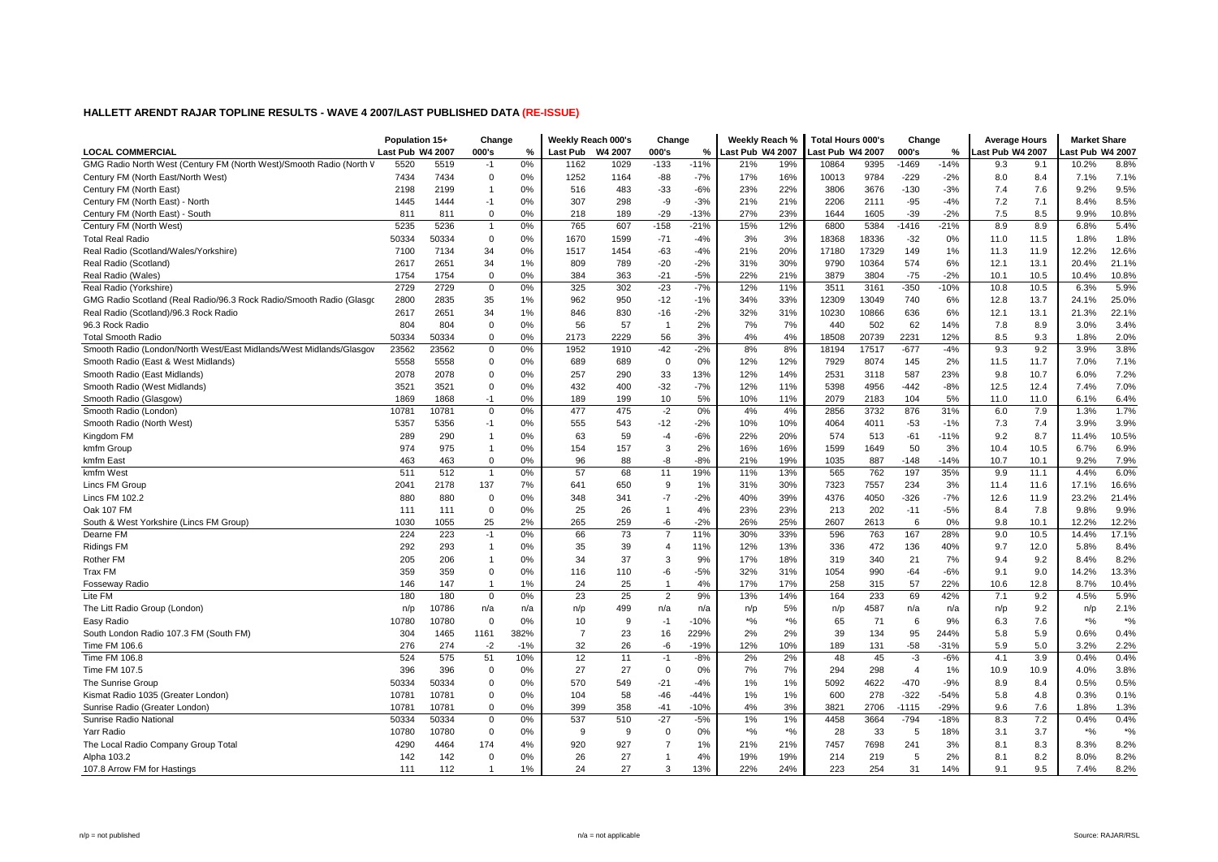|                                                                     | Population 15+   |       | Change         |       | Weekly Reach 000's |         | Change         |        | Weekly Reach %   |       | <b>Total Hours 000's</b> |       | Change         |        | <b>Average Hours</b> |      | <b>Market Share</b> |       |
|---------------------------------------------------------------------|------------------|-------|----------------|-------|--------------------|---------|----------------|--------|------------------|-------|--------------------------|-------|----------------|--------|----------------------|------|---------------------|-------|
| <b>LOCAL COMMERCIAL</b>                                             | Last Pub W4 2007 |       | 000's          | %     | Last Pub           | W4 2007 | 000's          | %      | Last Pub W4 2007 |       | ast Pub W4 2007          |       | 000's          | %      | ast Pub W4 2007.     |      | ast Pub W4 2007     |       |
| GMG Radio North West (Century FM (North West)/Smooth Radio (North V | 5520             | 5519  | $-1$           | 0%    | 1162               | 1029    | $-133$         | $-11%$ | 21%              | 19%   | 10864                    | 9395  | $-1469$        | $-14%$ | 9.3                  | 9.1  | 10.2%               | 8.8%  |
| Century FM (North East/North West)                                  | 7434             | 7434  | 0              | 0%    | 1252               | 1164    | -88            | $-7%$  | 17%              | 16%   | 10013                    | 9784  | $-229$         | $-2%$  | 8.0                  | 8.4  | 7.1%                | 7.1%  |
| Century FM (North East)                                             | 2198             | 2199  | $\mathbf{1}$   | 0%    | 516                | 483     | $-33$          | $-6%$  | 23%              | 22%   | 3806                     | 3676  | $-130$         | $-3%$  | 7.4                  | 7.6  | 9.2%                | 9.5%  |
| Century FM (North East) - North                                     | 1445             | 1444  | $-1$           | 0%    | 307                | 298     | -9             | $-3%$  | 21%              | 21%   | 2206                     | 2111  | $-95$          | $-4%$  | 7.2                  | 7.1  | 8.4%                | 8.5%  |
| Century FM (North East) - South                                     | 811              | 811   | $\Omega$       | 0%    | 218                | 189     | $-29$          | $-13%$ | 27%              | 23%   | 1644                     | 1605  | $-39$          | $-2%$  | 7.5                  | 8.5  | 9.9%                | 10.8% |
| Century FM (North West)                                             | 5235             | 5236  | $\mathbf{1}$   | 0%    | 765                | 607     | $-158$         | $-21%$ | 15%              | 12%   | 6800                     | 5384  | $-1416$        | $-21%$ | 8.9                  | 8.9  | 6.8%                | 5.4%  |
| <b>Total Real Radio</b>                                             | 50334            | 50334 | $\Omega$       | 0%    | 1670               | 1599    | $-71$          | $-4%$  | 3%               | 3%    | 18368                    | 18336 | $-32$          | 0%     | 11.0                 | 11.5 | 1.8%                | 1.8%  |
| Real Radio (Scotland/Wales/Yorkshire)                               | 7100             | 7134  | 34             | 0%    | 1517               | 1454    | $-63$          | $-4%$  | 21%              | 20%   | 17180                    | 17329 | 149            | 1%     | 11.3                 | 11.9 | 12.2%               | 12.6% |
| Real Radio (Scotland)                                               | 2617             | 2651  | 34             | 1%    | 809                | 789     | $-20$          | $-2%$  | 31%              | 30%   | 9790                     | 10364 | 574            | 6%     | 12.1                 | 13.1 | 20.4%               | 21.1% |
| Real Radio (Wales)                                                  | 1754             | 1754  | $\Omega$       | 0%    | 384                | 363     | $-21$          | $-5%$  | 22%              | 21%   | 3879                     | 3804  | $-75$          | $-2%$  | 10.1                 | 10.5 | 10.4%               | 10.8% |
| Real Radio (Yorkshire)                                              | 2729             | 2729  | $\Omega$       | 0%    | 325                | 302     | $-23$          | $-7%$  | 12%              | 11%   | 3511                     | 3161  | $-350$         | $-10%$ | 10.8                 | 10.5 | 6.3%                | 5.9%  |
| GMG Radio Scotland (Real Radio/96.3 Rock Radio/Smooth Radio (Glasgo | 2800             | 2835  | 35             | 1%    | 962                | 950     | $-12$          | $-1%$  | 34%              | 33%   | 12309                    | 13049 | 740            | 6%     | 12.8                 | 13.7 | 24.1%               | 25.0% |
| Real Radio (Scotland)/96.3 Rock Radio                               | 2617             | 2651  | 34             | 1%    | 846                | 830     | -16            | $-2%$  | 32%              | 31%   | 10230                    | 10866 | 636            | 6%     | 12.1                 | 13.1 | 21.3%               | 22.1% |
| 96.3 Rock Radio                                                     | 804              | 804   | $\Omega$       | 0%    | 56                 | 57      | -1             | 2%     | 7%               | 7%    | 440                      | 502   | 62             | 14%    | 7.8                  | 8.9  | 3.0%                | 3.4%  |
| <b>Total Smooth Radio</b>                                           | 50334            | 50334 | $\Omega$       | 0%    | 2173               | 2229    | 56             | 3%     | 4%               | 4%    | 18508                    | 20739 | 2231           | 12%    | 8.5                  | 9.3  | 1.8%                | 2.0%  |
| Smooth Radio (London/North West/East Midlands/West Midlands/Glasgov | 23562            | 23562 | $\mathbf 0$    | 0%    | 1952               | 1910    | $-42$          | $-2%$  | 8%               | 8%    | 18194                    | 17517 | $-677$         | $-4%$  | 9.3                  | 9.2  | 3.9%                | 3.8%  |
| Smooth Radio (East & West Midlands)                                 | 5558             | 5558  | $\mathbf 0$    | 0%    | 689                | 689     | $\mathbf 0$    | 0%     | 12%              | 12%   | 7929                     | 8074  | 145            | 2%     | 11.5                 | 11.7 | 7.0%                | 7.1%  |
| Smooth Radio (East Midlands)                                        | 2078             | 2078  | $\mathbf 0$    | 0%    | 257                | 290     | 33             | 13%    | 12%              | 14%   | 2531                     | 3118  | 587            | 23%    | 9.8                  | 10.7 | 6.0%                | 7.2%  |
| Smooth Radio (West Midlands)                                        | 3521             | 3521  | $\mathbf 0$    | 0%    | 432                | 400     | $-32$          | $-7%$  | 12%              | 11%   | 5398                     | 4956  | $-442$         | $-8%$  | 12.5                 | 12.4 | 7.4%                | 7.0%  |
| Smooth Radio (Glasgow)                                              | 1869             | 1868  | $-1$           | 0%    | 189                | 199     | 10             | 5%     | 10%              | 11%   | 2079                     | 2183  | 104            | 5%     | 11.0                 | 11.0 | 6.1%                | 6.4%  |
| Smooth Radio (London)                                               | 10781            | 10781 | $\Omega$       | 0%    | 477                | 475     | $-2$           | 0%     | 4%               | 4%    | 2856                     | 3732  | 876            | 31%    | 6.0                  | 7.9  | 1.3%                | 1.7%  |
| Smooth Radio (North West)                                           | 5357             | 5356  | $-1$           | 0%    | 555                | 543     | $-12$          | $-2%$  | 10%              | 10%   | 4064                     | 4011  | $-53$          | $-1%$  | 7.3                  | 7.4  | 3.9%                | 3.9%  |
| Kingdom FM                                                          | 289              | 290   | $\mathbf{1}$   | 0%    | 63                 | 59      | $-4$           | $-6%$  | 22%              | 20%   | 574                      | 513   | $-61$          | $-11%$ | 9.2                  | 8.7  | 11.4%               | 10.5% |
| kmfm Group                                                          | 974              | 975   | $\mathbf{1}$   | 0%    | 154                | 157     | 3              | 2%     | 16%              | 16%   | 1599                     | 1649  | 50             | 3%     | 10.4                 | 10.5 | 6.7%                | 6.9%  |
| kmfm East                                                           | 463              | 463   | $\Omega$       | 0%    | 96                 | 88      | -8             | $-8%$  | 21%              | 19%   | 1035                     | 887   | $-148$         | $-14%$ | 10.7                 | 10.1 | 9.2%                | 7.9%  |
| kmfm West                                                           | 511              | 512   | $\overline{1}$ | 0%    | 57                 | 68      | 11             | 19%    | 11%              | 13%   | 565                      | 762   | 197            | 35%    | 9.9                  | 11.1 | 4.4%                | 6.0%  |
| <b>Lincs FM Group</b>                                               | 2041             | 2178  | 137            | 7%    | 641                | 650     | 9              | 1%     | 31%              | 30%   | 7323                     | 7557  | 234            | 3%     | 11.4                 | 11.6 | 17.1%               | 16.6% |
| Lincs FM 102.2                                                      | 880              | 880   | $\mathbf 0$    | 0%    | 348                | 341     | $-7$           | $-2%$  | 40%              | 39%   | 4376                     | 4050  | $-326$         | $-7%$  | 12.6                 | 11.9 | 23.2%               | 21.4% |
| Oak 107 FM                                                          | 111              | 111   | $\Omega$       | 0%    | 25                 | 26      | $\mathbf{1}$   | 4%     | 23%              | 23%   | 213                      | 202   | $-11$          | $-5%$  | 8.4                  | 7.8  | 9.8%                | 9.9%  |
| South & West Yorkshire (Lincs FM Group)                             | 1030             | 1055  | 25             | 2%    | 265                | 259     | -6             | $-2%$  | 26%              | 25%   | 2607                     | 2613  | 6              | 0%     | 9.8                  | 10.1 | 12.2%               | 12.2% |
| Dearne FM                                                           | 224              | 223   | $-1$           | 0%    | 66                 | 73      | $\overline{7}$ | 11%    | 30%              | 33%   | 596                      | 763   | 167            | 28%    | 9.0                  | 10.5 | 14.4%               | 17.1% |
| <b>Ridings FM</b>                                                   | 292              | 293   | $\mathbf{1}$   | 0%    | 35                 | 39      | 4              | 11%    | 12%              | 13%   | 336                      | 472   | 136            | 40%    | 9.7                  | 12.0 | 5.8%                | 8.4%  |
| Rother FM                                                           | 205              | 206   | $\mathbf{1}$   | 0%    | 34                 | 37      | 3              | 9%     | 17%              | 18%   | 319                      | 340   | 21             | 7%     | 9.4                  | 9.2  | 8.4%                | 8.2%  |
| Trax FM                                                             | 359              | 359   | $\mathbf 0$    | 0%    | 116                | 110     | -6             | $-5%$  | 32%              | 31%   | 1054                     | 990   | $-64$          | $-6%$  | 9.1                  | 9.0  | 14.2%               | 13.3% |
| <b>Fosseway Radio</b>                                               | 146              | 147   | -1             | 1%    | 24                 | 25      | -1             | 4%     | 17%              | 17%   | 258                      | 315   | 57             | 22%    | 10.6                 | 12.8 | 8.7%                | 10.4% |
| Lite FM                                                             | 180              | 180   | $\mathbf 0$    | 0%    | 23                 | 25      | $\overline{2}$ | 9%     | 13%              | 14%   | 164                      | 233   | 69             | 42%    | 7.1                  | 9.2  | 4.5%                | 5.9%  |
| The Litt Radio Group (London)                                       | n/p              | 10786 | n/a            | n/a   | n/p                | 499     | n/a            | n/a    | n/p              | 5%    | n/p                      | 4587  | n/a            | n/a    | n/p                  | 9.2  | n/p                 | 2.1%  |
| Easy Radio                                                          | 10780            | 10780 | $\mathbf 0$    | 0%    | 10                 | 9       | $-1$           | $-10%$ | $*$ %            | $*$ % | 65                       | 71    | 6              | 9%     | 6.3                  | 7.6  | $*$ %               | $*$ % |
| South London Radio 107.3 FM (South FM)                              | 304              | 1465  | 1161           | 382%  | $\overline{7}$     | 23      | 16             | 229%   | 2%               | 2%    | 39                       | 134   | 95             | 244%   | 5.8                  | 5.9  | 0.6%                | 0.4%  |
| Time FM 106.6                                                       | 276              | 274   | $-2$           | $-1%$ | 32                 | 26      | -6             | $-19%$ | 12%              | 10%   | 189                      | 131   | $-58$          | $-31%$ | 5.9                  | 5.0  | 3.2%                | 2.2%  |
| Time FM 106.8                                                       | 524              | 575   | 51             | 10%   | 12                 | 11      | $-1$           | $-8%$  | 2%               | 2%    | 48                       | 45    | $-3$           | $-6%$  | 4.1                  | 3.9  | 0.4%                | 0.4%  |
| Time FM 107.5                                                       | 396              | 396   | $\Omega$       | 0%    | 27                 | 27      | $\mathbf 0$    | 0%     | 7%               | 7%    | 294                      | 298   | $\overline{4}$ | 1%     | 10.9                 | 10.9 | 4.0%                | 3.8%  |
| The Sunrise Group                                                   | 50334            | 50334 | $\Omega$       | 0%    | 570                | 549     | $-21$          | $-4%$  | 1%               | 1%    | 5092                     | 4622  | $-470$         | $-9%$  | 8.9                  | 8.4  | 0.5%                | 0.5%  |
| Kismat Radio 1035 (Greater London)                                  | 10781            | 10781 | $\mathbf 0$    | 0%    | 104                | 58      | $-46$          | $-44%$ | 1%               | 1%    | 600                      | 278   | $-322$         | $-54%$ | 5.8                  | 4.8  | 0.3%                | 0.1%  |
| Sunrise Radio (Greater London)                                      | 10781            | 10781 | $\mathbf 0$    | 0%    | 399                | 358     | $-41$          | $-10%$ | 4%               | 3%    | 3821                     | 2706  | $-1115$        | $-29%$ | 9.6                  | 7.6  | 1.8%                | 1.3%  |
| Sunrise Radio National                                              | 50334            | 50334 | $\mathbf 0$    | 0%    | 537                | 510     | $-27$          | $-5%$  | 1%               | 1%    | 4458                     | 3664  | $-794$         | $-18%$ | 8.3                  | 7.2  | 0.4%                | 0.4%  |
| Yarr Radio                                                          | 10780            | 10780 | $\mathbf 0$    | 0%    | 9                  | 9       | $\mathbf 0$    | 0%     | $*$ %            | $*$ % | 28                       | 33    | 5              | 18%    | 3.1                  | 3.7  | $\star$ %           | $*$ % |
| The Local Radio Company Group Total                                 | 4290             | 4464  | 174            | 4%    | 920                | 927     | $\overline{7}$ | 1%     | 21%              | 21%   | 7457                     | 7698  | 241            | 3%     | 8.1                  | 8.3  | 8.3%                | 8.2%  |
| Alpha 103.2                                                         | 142              | 142   | $\mathbf 0$    | 0%    | 26                 | 27      | -1             | 4%     | 19%              | 19%   | 214                      | 219   | -5             | 2%     | 8.1                  | 8.2  | 8.0%                | 8.2%  |
| 107.8 Arrow FM for Hastings                                         | 111              | 112   | $\mathbf{1}$   | 1%    | 24                 | 27      | 3              | 13%    | 22%              | 24%   | 223                      | 254   | 31             | 14%    | 9.1                  | 9.5  | 7.4%                | 8.2%  |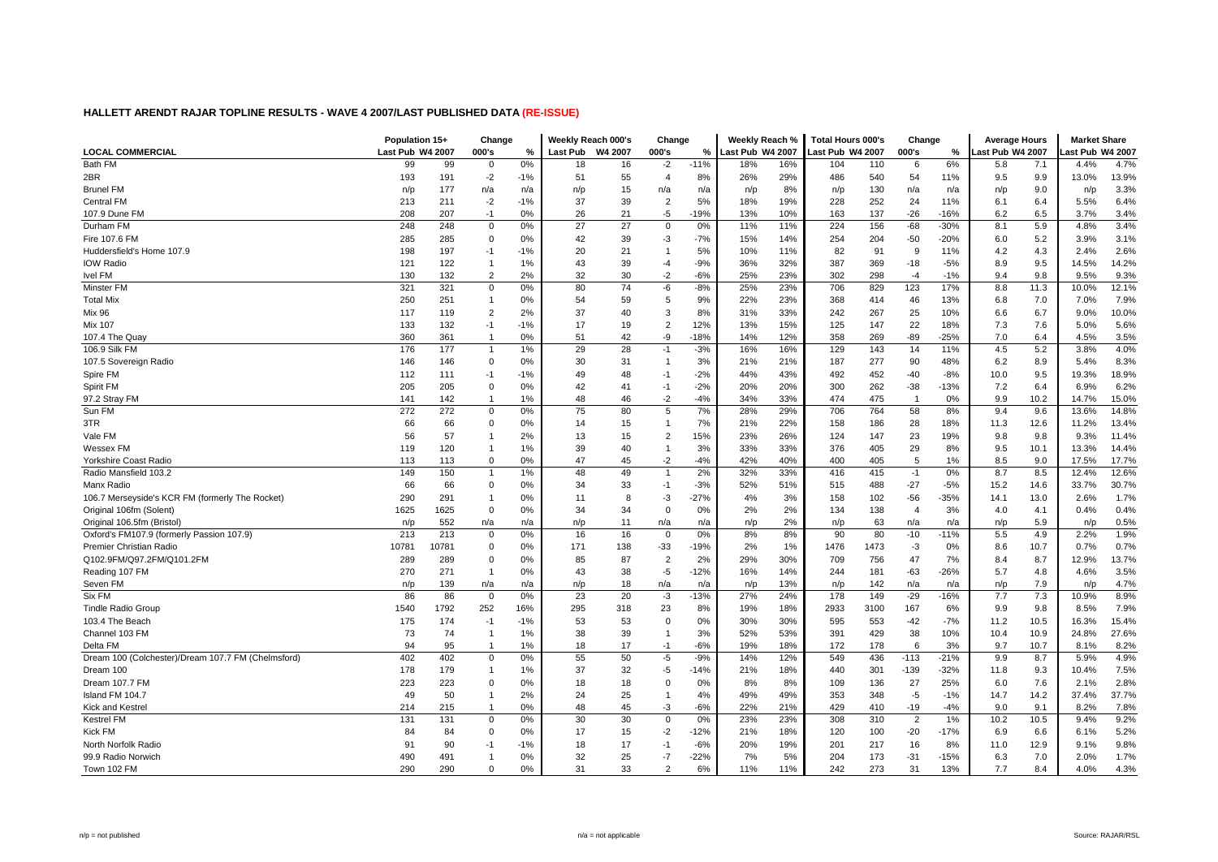|                                                    | Population 15+   |       | Change         |               | Weekly Reach 000's |         | Change         |        | Weekly Reach %   |     | <b>Total Hours 000's</b> |      | Change         |        | <b>Average Hours</b> |      | <b>Market Share</b> |       |
|----------------------------------------------------|------------------|-------|----------------|---------------|--------------------|---------|----------------|--------|------------------|-----|--------------------------|------|----------------|--------|----------------------|------|---------------------|-------|
| <b>LOCAL COMMERCIAL</b>                            | Last Pub W4 2007 |       | 000's          | $\frac{9}{6}$ | <b>Last Pub</b>    | W4 2007 | 000's          | %      | Last Pub W4 2007 |     | Last Pub W4 2007         |      | 000's          | ℅      | ast Pub W4 2007      |      | ast Pub W4 2007.    |       |
| <b>Bath FM</b>                                     | 99               | 99    | $\Omega$       | 0%            | 18                 | 16      | $-2$           | $-11%$ | 18%              | 16% | 104                      | 110  | 6              | 6%     | 5.8                  | 7.1  | 4.4%                | 4.7%  |
| 2BR                                                | 193              | 191   | $-2$           | $-1%$         | 51                 | 55      | $\overline{4}$ | 8%     | 26%              | 29% | 486                      | 540  | 54             | 11%    | 9.5                  | 9.9  | 13.0%               | 13.9% |
| <b>Brunel FM</b>                                   | n/p              | 177   | n/a            | n/a           | n/p                | 15      | n/a            | n/a    | n/p              | 8%  | n/p                      | 130  | n/a            | n/a    | n/p                  | 9.0  | n/p                 | 3.3%  |
| <b>Central FM</b>                                  | 213              | 211   | $-2$           | $-1%$         | 37                 | 39      | $\overline{2}$ | 5%     | 18%              | 19% | 228                      | 252  | 24             | 11%    | 6.1                  | 6.4  | 5.5%                | 6.4%  |
| 107.9 Dune FM                                      | 208              | 207   | $-1$           | 0%            | 26                 | 21      | $-5$           | $-19%$ | 13%              | 10% | 163                      | 137  | $-26$          | $-16%$ | 6.2                  | 6.5  | 3.7%                | 3.4%  |
| Durham FM                                          | 248              | 248   | 0              | 0%            | 27                 | 27      | $\mathbf 0$    | 0%     | 11%              | 11% | 224                      | 156  | $-68$          | $-30%$ | 8.1                  | 5.9  | 4.8%                | 3.4%  |
| Fire 107.6 FM                                      | 285              | 285   | $\mathbf 0$    | 0%            | 42                 | 39      | -3             | $-7%$  | 15%              | 14% | 254                      | 204  | $-50$          | $-20%$ | 6.0                  | 5.2  | 3.9%                | 3.1%  |
| Huddersfield's Home 107.9                          | 198              | 197   | $-1$           | $-1%$         | 20                 | 21      | -1             | 5%     | 10%              | 11% | 82                       | 91   | -9             | 11%    | 4.2                  | 4.3  | 2.4%                | 2.6%  |
| <b>IOW Radio</b>                                   | 121              | 122   | $\mathbf 1$    | 1%            | 43                 | 39      | $-4$           | $-9%$  | 36%              | 32% | 387                      | 369  | $-18$          | $-5%$  | 8.9                  | 9.5  | 14.5%               | 14.2% |
| Ivel FM                                            | 130              | 132   | $\overline{2}$ | 2%            | 32                 | 30      | $-2$           | $-6%$  | 25%              | 23% | 302                      | 298  | $-4$           | $-1%$  | 9.4                  | 9.8  | 9.5%                | 9.3%  |
| Minster FM                                         | 321              | 321   | 0              | 0%            | 80                 | 74      | -6             | $-8%$  | 25%              | 23% | 706                      | 829  | 123            | 17%    | 8.8                  | 11.3 | 10.0%               | 12.1% |
| <b>Total Mix</b>                                   | 250              | 251   | $\mathbf{1}$   | 0%            | 54                 | 59      | 5              | 9%     | 22%              | 23% | 368                      | 414  | 46             | 13%    | 6.8                  | 7.0  | 7.0%                | 7.9%  |
| <b>Mix 96</b>                                      | 117              | 119   | $\overline{2}$ | 2%            | 37                 | 40      | 3              | 8%     | 31%              | 33% | 242                      | 267  | 25             | 10%    | 6.6                  | 6.7  | 9.0%                | 10.0% |
| <b>Mix 107</b>                                     | 133              | 132   | $-1$           | $-1%$         | 17                 | 19      | $\overline{2}$ | 12%    | 13%              | 15% | 125                      | 147  | 22             | 18%    | 7.3                  | 7.6  | 5.0%                | 5.6%  |
| 107.4 The Quay                                     | 360              | 361   | -1             | 0%            | 51                 | 42      | -9             | $-18%$ | 14%              | 12% | 358                      | 269  | $-89$          | $-25%$ | 7.0                  | 6.4  | 4.5%                | 3.5%  |
| 106.9 Silk FM                                      | 176              | 177   | $\overline{1}$ | 1%            | 29                 | 28      | $-1$           | $-3%$  | 16%              | 16% | 129                      | 143  | 14             | 11%    | 4.5                  | 5.2  | 3.8%                | 4.0%  |
| 107.5 Sovereign Radio                              | 146              | 146   | $\mathbf 0$    | 0%            | 30                 | 31      | -1             | 3%     | 21%              | 21% | 187                      | 277  | 90             | 48%    | 6.2                  | 8.9  | 5.4%                | 8.3%  |
| Spire FM                                           | 112              | 111   | $-1$           | $-1%$         | 49                 | 48      | $-1$           | $-2%$  | 44%              | 43% | 492                      | 452  | $-40$          | $-8%$  | 10.0                 | 9.5  | 19.3%               | 18.9% |
| Spirit FM                                          | 205              | 205   | $\mathbf 0$    | 0%            | 42                 | 41      | $-1$           | $-2%$  | 20%              | 20% | 300                      | 262  | $-38$          | $-13%$ | 7.2                  | 6.4  | 6.9%                | 6.2%  |
| 97.2 Stray FM                                      | 141              | 142   | -1             | 1%            | 48                 | 46      | $-2$           | $-4%$  | 34%              | 33% | 474                      | 475  | -1             | 0%     | 9.9                  | 10.2 | 14.7%               | 15.0% |
| Sun FM                                             | 272              | 272   | 0              | 0%            | 75                 | 80      | 5              | 7%     | 28%              | 29% | 706                      | 764  | 58             | 8%     | 9.4                  | 9.6  | 13.6%               | 14.8% |
| 3TR                                                | 66               | 66    | $\Omega$       | 0%            | 14                 | 15      | $\mathbf{1}$   | 7%     | 21%              | 22% | 158                      | 186  | 28             | 18%    | 11.3                 | 12.6 | 11.2%               | 13.4% |
| Vale FM                                            | 56               | 57    | -1             | 2%            | 13                 | 15      | $\overline{2}$ | 15%    | 23%              | 26% | 124                      | 147  | 23             | 19%    | 9.8                  | 9.8  | 9.3%                | 11.4% |
| Wessex FM                                          | 119              | 120   | $\mathbf{1}$   | 1%            | 39                 | 40      | $\mathbf{1}$   | 3%     | 33%              | 33% | 376                      | 405  | 29             | 8%     | 9.5                  | 10.1 | 13.3%               | 14.4% |
| Yorkshire Coast Radio                              | 113              | 113   | $\mathbf 0$    | 0%            | 47                 | 45      | $-2$           | $-4%$  | 42%              | 40% | 400                      | 405  | 5              | 1%     | 8.5                  | 9.0  | 17.5%               | 17.7% |
| Radio Mansfield 103.2                              | 149              | 150   | $\mathbf{1}$   | 1%            | 48                 | 49      | $\mathbf{1}$   | 2%     | 32%              | 33% | 416                      | 415  | $-1$           | 0%     | 8.7                  | 8.5  | 12.4%               | 12.6% |
| Manx Radio                                         | 66               | 66    | $\Omega$       | 0%            | 34                 | 33      | $-1$           | $-3%$  | 52%              | 51% | 515                      | 488  | $-27$          | $-5%$  | 15.2                 | 14.6 | 33.7%               | 30.7% |
| 106.7 Merseyside's KCR FM (formerly The Rocket)    | 290              | 291   | $\mathbf{1}$   | 0%            | 11                 | 8       | -3             | $-27%$ | 4%               | 3%  | 158                      | 102  | $-56$          | $-35%$ | 14.1                 | 13.0 | 2.6%                | 1.7%  |
| Original 106fm (Solent)                            | 1625             | 1625  | $\mathbf 0$    | 0%            | 34                 | 34      | $\mathbf 0$    | 0%     | 2%               | 2%  | 134                      | 138  | $\overline{4}$ | 3%     | 4.0                  | 4.1  | 0.4%                | 0.4%  |
| Original 106.5fm (Bristol)                         | n/p              | 552   | n/a            | n/a           | n/p                | 11      | n/a            | n/a    | n/p              | 2%  | n/p                      | 63   | n/a            | n/a    | n/p                  | 5.9  | n/p                 | 0.5%  |
| Oxford's FM107.9 (formerly Passion 107.9)          | 213              | 213   | $\mathbf 0$    | 0%            | 16                 | 16      | $\mathbf 0$    | 0%     | 8%               | 8%  | 90                       | 80   | $-10$          | $-11%$ | 5.5                  | 4.9  | 2.2%                | 1.9%  |
| Premier Christian Radio                            | 10781            | 10781 | $\Omega$       | 0%            | 171                | 138     | $-33$          | $-19%$ | 2%               | 1%  | 1476                     | 1473 | -3             | 0%     | 8.6                  | 10.7 | 0.7%                | 0.7%  |
| Q102.9FM/Q97.2FM/Q101.2FM                          | 289              | 289   | $\mathbf 0$    | 0%            | 85                 | 87      | $\overline{2}$ | 2%     | 29%              | 30% | 709                      | 756  | 47             | 7%     | 8.4                  | 8.7  | 12.9%               | 13.7% |
| Reading 107 FM                                     | 270              | 271   | $\overline{1}$ | 0%            | 43                 | 38      | $-5$           | $-12%$ | 16%              | 14% | 244                      | 181  | $-63$          | $-26%$ | 5.7                  | 4.8  | 4.6%                | 3.5%  |
| Seven FM                                           | n/p              | 139   | n/a            | n/a           | n/p                | 18      | n/a            | n/a    | n/p              | 13% | n/p                      | 142  | n/a            | n/a    | n/p                  | 7.9  | n/p                 | 4.7%  |
| Six FM                                             | 86               | 86    | $\mathbf 0$    | 0%            | 23                 | 20      | $-3$           | $-13%$ | 27%              | 24% | 178                      | 149  | $-29$          | $-16%$ | 7.7                  | 7.3  | 10.9%               | 8.9%  |
| <b>Tindle Radio Group</b>                          | 1540             | 1792  | 252            | 16%           | 295                | 318     | 23             | 8%     | 19%              | 18% | 2933                     | 3100 | 167            | 6%     | 9.9                  | 9.8  | 8.5%                | 7.9%  |
| 103.4 The Beach                                    | 175              | 174   | $-1$           | $-1%$         | 53                 | 53      | $\Omega$       | 0%     | 30%              | 30% | 595                      | 553  | $-42$          | $-7%$  | 11.2                 | 10.5 | 16.3%               | 15.4% |
| Channel 103 FM                                     | 73               | 74    | -1             | 1%            | 38                 | 39      | $\overline{1}$ | 3%     | 52%              | 53% | 391                      | 429  | 38             | 10%    | 10.4                 | 10.9 | 24.8%               | 27.6% |
| Delta FM                                           | 94               | 95    | $\mathbf{1}$   | 1%            | 18                 | 17      | $-1$           | $-6%$  | 19%              | 18% | 172                      | 178  | 6              | 3%     | 9.7                  | 10.7 | 8.1%                | 8.2%  |
| Dream 100 (Colchester)/Dream 107.7 FM (Chelmsford) | 402              | 402   | $\mathbf 0$    | 0%            | 55                 | 50      | $-5$           | $-9%$  | 14%              | 12% | 549                      | 436  | $-113$         | $-21%$ | 9.9                  | 8.7  | 5.9%                | 4.9%  |
| Dream 100                                          | 178              | 179   | $\mathbf{1}$   | 1%            | 37                 | 32      | $-5$           | $-14%$ | 21%              | 18% | 440                      | 301  | $-139$         | $-32%$ | 11.8                 | 9.3  | 10.4%               | 7.5%  |
| Dream 107.7 FM                                     | 223              | 223   | $\Omega$       | 0%            | 18                 | 18      | $\mathbf 0$    | 0%     | 8%               | 8%  | 109                      | 136  | 27             | 25%    | 6.0                  | 7.6  | 2.1%                | 2.8%  |
| Island FM 104.7                                    | 49               | 50    | $\mathbf 1$    | 2%            | 24                 | 25      | $\mathbf{1}$   | 4%     | 49%              | 49% | 353                      | 348  | $-5$           | $-1%$  | 14.7                 | 14.2 | 37.4%               | 37.7% |
| Kick and Kestrel                                   | 214              | 215   |                | 0%            | 48                 | 45      | -3             | $-6%$  | 22%              | 21% | 429                      | 410  | $-19$          | $-4%$  | 9.0                  | 9.1  | 8.2%                | 7.8%  |
| <b>Kestrel FM</b>                                  | 131              | 131   | $\Omega$       | 0%            | 30                 | 30      | $\Omega$       | 0%     | 23%              | 23% | 308                      | 310  | 2              | 1%     | 10.2                 | 10.5 | 9.4%                | 9.2%  |
| <b>Kick FM</b>                                     | 84               | 84    | $\Omega$       | 0%            | 17                 | 15      | $-2$           | $-12%$ | 21%              | 18% | 120                      | 100  | $-20$          | $-17%$ | 6.9                  | 6.6  | 6.1%                | 5.2%  |
| North Norfolk Radio                                | 91               | 90    | -1             | $-1%$         | 18                 | 17      | $-1$           | $-6%$  | 20%              | 19% | 201                      | 217  | 16             | 8%     | 11.0                 | 12.9 | 9.1%                | 9.8%  |
| 99.9 Radio Norwich                                 | 490              | 491   | $\mathbf 1$    | 0%            | 32                 | 25      | -7             | $-22%$ | 7%               | 5%  | 204                      | 173  | $-31$          | $-15%$ | 6.3                  | 7.0  | 2.0%                | 1.7%  |
| Town 102 FM                                        | 290              | 290   | $\Omega$       | 0%            | 31                 | 33      | $\overline{2}$ | 6%     | 11%              | 11% | 242                      | 273  | 31             | 13%    | 7.7                  | 8.4  | 4.0%                | 4.3%  |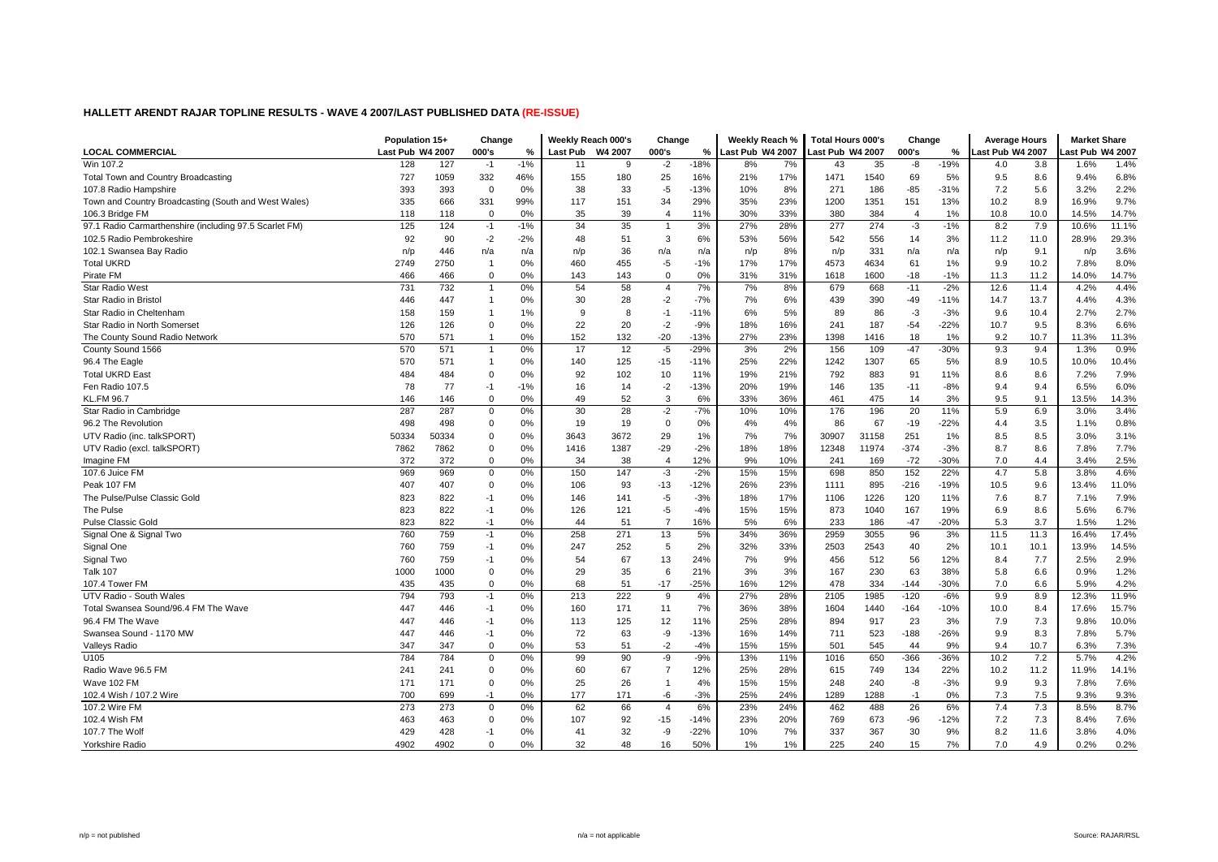|                                                        | Population 15+   |       | Change         |       | Weekly Reach 000's |         | Change         |        | Weekly Reach %   |     | <b>Total Hours 000's</b> |       | Change         |        | <b>Average Hours</b> |      | <b>Market Share</b> |       |
|--------------------------------------------------------|------------------|-------|----------------|-------|--------------------|---------|----------------|--------|------------------|-----|--------------------------|-------|----------------|--------|----------------------|------|---------------------|-------|
| <b>LOCAL COMMERCIAL</b>                                | Last Pub W4 2007 |       | 000's          | %     | Last Pub           | W4 2007 | 000's          | $\%$   | Last Pub W4 2007 |     | Last Pub W4 2007         |       | 000's          | ℅      | ast Pub W4 2007      |      | ast Pub W4 2007     |       |
| Win 107.2                                              | 128              | 127   | $-1$           | $-1%$ | 11                 | 9       | $-2$           | $-18%$ | 8%               | 7%  | 43                       | 35    | -8             | $-19%$ | 4.0                  | 3.8  | 1.6%                | 1.4%  |
| Total Town and Country Broadcasting                    | 727              | 1059  | 332            | 46%   | 155                | 180     | 25             | 16%    | 21%              | 17% | 1471                     | 1540  | 69             | 5%     | 9.5                  | 8.6  | 9.4%                | 6.8%  |
| 107.8 Radio Hampshire                                  | 393              | 393   | $\mathbf 0$    | 0%    | 38                 | 33      | $-5$           | $-13%$ | 10%              | 8%  | 271                      | 186   | $-85$          | $-31%$ | 7.2                  | 5.6  | 3.2%                | 2.2%  |
| Town and Country Broadcasting (South and West Wales)   | 335              | 666   | 331            | 99%   | 117                | 151     | 34             | 29%    | 35%              | 23% | 1200                     | 1351  | 151            | 13%    | 10.2                 | 8.9  | 16.9%               | 9.7%  |
| 106.3 Bridge FM                                        | 118              | 118   | $\Omega$       | 0%    | 35                 | 39      | $\overline{4}$ | 11%    | 30%              | 33% | 380                      | 384   | $\overline{4}$ | 1%     | 10.8                 | 10.0 | 14.5%               | 14.7% |
| 97.1 Radio Carmarthenshire (including 97.5 Scarlet FM) | 125              | 124   | $-1$           | $-1%$ | 34                 | 35      | $\overline{1}$ | 3%     | 27%              | 28% | 277                      | 274   | $-3$           | $-1%$  | 8.2                  | 7.9  | 10.6%               | 11.1% |
| 102.5 Radio Pembrokeshire                              | 92               | 90    | $-2$           | $-2%$ | 48                 | 51      | 3              | 6%     | 53%              | 56% | 542                      | 556   | 14             | 3%     | 11.2                 | 11.0 | 28.9%               | 29.3% |
| 102.1 Swansea Bay Radio                                | n/p              | 446   | n/a            | n/a   | n/p                | 36      | n/a            | n/a    | n/p              | 8%  | n/p                      | 331   | n/a            | n/a    | n/p                  | 9.1  | n/p                 | 3.6%  |
| <b>Total UKRD</b>                                      | 2749             | 2750  | $\overline{1}$ | 0%    | 460                | 455     | -5             | $-1%$  | 17%              | 17% | 4573                     | 4634  | 61             | 1%     | 9.9                  | 10.2 | 7.8%                | 8.0%  |
| Pirate FM                                              | 466              | 466   | $\Omega$       | 0%    | 143                | 143     | $\Omega$       | 0%     | 31%              | 31% | 1618                     | 1600  | $-18$          | $-1%$  | 11.3                 | 11.2 | 14.0%               | 14.7% |
| Star Radio West                                        | 731              | 732   | $\overline{1}$ | 0%    | 54                 | 58      | $\overline{4}$ | 7%     | 7%               | 8%  | 679                      | 668   | $-11$          | $-2%$  | 12.6                 | 11.4 | 4.2%                | 4.4%  |
| Star Radio in Bristol                                  | 446              | 447   | $\mathbf 1$    | 0%    | 30                 | 28      | $-2$           | $-7%$  | 7%               | 6%  | 439                      | 390   | $-49$          | $-11%$ | 14.7                 | 13.7 | 4.4%                | 4.3%  |
| Star Radio in Cheltenham                               | 158              | 159   | $\mathbf{1}$   | 1%    | 9                  | 8       | $-1$           | $-11%$ | 6%               | 5%  | 89                       | 86    | -3             | $-3%$  | 9.6                  | 10.4 | 2.7%                | 2.7%  |
| Star Radio in North Somerset                           | 126              | 126   | $\mathbf 0$    | 0%    | 22                 | 20      | $-2$           | $-9%$  | 18%              | 16% | 241                      | 187   | $-54$          | $-22%$ | 10.7                 | 9.5  | 8.3%                | 6.6%  |
| The County Sound Radio Network                         | 570              | 571   | $\mathbf{1}$   | 0%    | 152                | 132     | $-20$          | $-13%$ | 27%              | 23% | 1398                     | 1416  | 18             | 1%     | 9.2                  | 10.7 | 11.3%               | 11.3% |
| County Sound 1566                                      | 570              | 571   | $\mathbf{1}$   | 0%    | 17                 | 12      | $-5$           | $-29%$ | 3%               | 2%  | 156                      | 109   | $-47$          | $-30%$ | 9.3                  | 9.4  | 1.3%                | 0.9%  |
| 96.4 The Eagle                                         | 570              | 571   | $\mathbf{1}$   | 0%    | 140                | 125     | $-15$          | $-11%$ | 25%              | 22% | 1242                     | 1307  | 65             | 5%     | 8.9                  | 10.5 | 10.0%               | 10.4% |
| <b>Total UKRD Eas</b>                                  | 484              | 484   | $\mathbf 0$    | 0%    | 92                 | 102     | 10             | 11%    | 19%              | 21% | 792                      | 883   | 91             | 11%    | 8.6                  | 8.6  | 7.2%                | 7.9%  |
| Fen Radio 107.5                                        | 78               | 77    | $-1$           | $-1%$ | 16                 | 14      | $-2$           | $-13%$ | 20%              | 19% | 146                      | 135   | $-11$          | $-8%$  | 9.4                  | 9.4  | 6.5%                | 6.0%  |
| <b>KL.FM 96.7</b>                                      | 146              | 146   | $\Omega$       | 0%    | 49                 | 52      | 3              | 6%     | 33%              | 36% | 461                      | 475   | 14             | 3%     | 9.5                  | 9.1  | 13.5%               | 14.3% |
| Star Radio in Cambridge                                | 287              | 287   | $\mathbf 0$    | 0%    | 30                 | 28      | $-2$           | $-7%$  | 10%              | 10% | 176                      | 196   | 20             | 11%    | 5.9                  | 6.9  | 3.0%                | 3.4%  |
| 96.2 The Revolution                                    | 498              | 498   | $\mathbf 0$    | 0%    | 19                 | 19      | $\mathsf 0$    | 0%     | 4%               | 4%  | 86                       | 67    | $-19$          | $-22%$ | 4.4                  | 3.5  | 1.1%                | 0.8%  |
| UTV Radio (inc. talkSPORT)                             | 50334            | 50334 | $\mathbf 0$    | 0%    | 3643               | 3672    | 29             | 1%     | 7%               | 7%  | 30907                    | 31158 | 251            | 1%     | 8.5                  | 8.5  | 3.0%                | 3.1%  |
| UTV Radio (excl. talkSPORT)                            | 7862             | 7862  | $\mathbf 0$    | 0%    | 1416               | 1387    | $-29$          | $-2%$  | 18%              | 18% | 12348                    | 11974 | $-374$         | $-3%$  | 8.7                  | 8.6  | 7.8%                | 7.7%  |
| Imagine FM                                             | 372              | 372   | $\mathbf 0$    | 0%    | 34                 | 38      | $\overline{4}$ | 12%    | 9%               | 10% | 241                      | 169   | $-72$          | $-30%$ | 7.0                  | 4.4  | 3.4%                | 2.5%  |
| 107.6 Juice FM                                         | 969              | 969   | $\mathbf 0$    | 0%    | 150                | 147     | $-3$           | $-2%$  | 15%              | 15% | 698                      | 850   | 152            | 22%    | 4.7                  | 5.8  | 3.8%                | 4.6%  |
| Peak 107 FM                                            | 407              | 407   | $\Omega$       | 0%    | 106                | 93      | $-13$          | $-12%$ | 26%              | 23% | 1111                     | 895   | $-216$         | $-19%$ | 10.5                 | 9.6  | 13.4%               | 11.0% |
| The Pulse/Pulse Classic Gold                           | 823              | 822   | $-1$           | 0%    | 146                | 141     | $-5$           | $-3%$  | 18%              | 17% | 1106                     | 1226  | 120            | 11%    | 7.6                  | 8.7  | 7.1%                | 7.9%  |
| The Pulse                                              | 823              | 822   | $-1$           | 0%    | 126                | 121     | $-5$           | $-4%$  | 15%              | 15% | 873                      | 1040  | 167            | 19%    | 6.9                  | 8.6  | 5.6%                | 6.7%  |
| <b>Pulse Classic Gold</b>                              | 823              | 822   | $-1$           | 0%    | 44                 | 51      | $\overline{7}$ | 16%    | 5%               | 6%  | 233                      | 186   | $-47$          | $-20%$ | 5.3                  | 3.7  | 1.5%                | 1.2%  |
| Signal One & Signal Two                                | 760              | 759   | $-1$           | 0%    | 258                | 271     | 13             | 5%     | 34%              | 36% | 2959                     | 3055  | 96             | 3%     | 11.5                 | 11.3 | 16.4%               | 17.4% |
| Signal One                                             | 760              | 759   | $-1$           | 0%    | 247                | 252     | 5              | 2%     | 32%              | 33% | 2503                     | 2543  | 40             | 2%     | 10.1                 | 10.1 | 13.9%               | 14.5% |
| Signal Two                                             | 760              | 759   | $-1$           | 0%    | 54                 | 67      | 13             | 24%    | 7%               | 9%  | 456                      | 512   | 56             | 12%    | 8.4                  | 7.7  | 2.5%                | 2.9%  |
| <b>Talk 107</b>                                        | 1000             | 1000  | $\Omega$       | 0%    | 29                 | 35      | 6              | 21%    | 3%               | 3%  | 167                      | 230   | 63             | 38%    | 5.8                  | 6.6  | 0.9%                | 1.2%  |
| 107.4 Tower FM                                         | 435              | 435   | $\Omega$       | 0%    | 68                 | 51      | $-17$          | $-25%$ | 16%              | 12% | 478                      | 334   | $-144$         | $-30%$ | 7.0                  | 6.6  | 5.9%                | 4.2%  |
| UTV Radio - South Wales                                | 794              | 793   | $-1$           | 0%    | 213                | 222     | 9              | 4%     | 27%              | 28% | 2105                     | 1985  | $-120$         | $-6%$  | 9.9                  | 8.9  | 12.3%               | 11.9% |
| Total Swansea Sound/96.4 FM The Wave                   | 447              | 446   | $-1$           | 0%    | 160                | 171     | 11             | 7%     | 36%              | 38% | 1604                     | 1440  | $-164$         | $-10%$ | 10.0                 | 8.4  | 17.6%               | 15.7% |
| 96.4 FM The Wave                                       | 447              | 446   | $-1$           | 0%    | 113                | 125     | 12             | 11%    | 25%              | 28% | 894                      | 917   | 23             | 3%     | 7.9                  | 7.3  | 9.8%                | 10.0% |
| Swansea Sound - 1170 MW                                | 447              | 446   | $-1$           | 0%    | 72                 | 63      | -9             | $-13%$ | 16%              | 14% | 711                      | 523   | $-188$         | $-26%$ | 9.9                  | 8.3  | 7.8%                | 5.7%  |
| Valleys Radio                                          | 347              | 347   | $\mathbf 0$    | 0%    | 53                 | 51      | $-2$           | $-4%$  | 15%              | 15% | 501                      | 545   | 44             | 9%     | 9.4                  | 10.7 | 6.3%                | 7.3%  |
| U105                                                   | 784              | 784   | $\mathbf 0$    | 0%    | 99                 | 90      | -9             | $-9%$  | 13%              | 11% | 1016                     | 650   | $-366$         | $-36%$ | 10.2                 | 7.2  | 5.7%                | 4.2%  |
| Radio Wave 96.5 FM                                     | 241              | 241   | $\mathbf 0$    | 0%    | 60                 | 67      | $\overline{7}$ | 12%    | 25%              | 28% | 615                      | 749   | 134            | 22%    | 10.2                 | 11.2 | 11.9%               | 14.1% |
| Wave 102 FM                                            | 171              | 171   | $\Omega$       | 0%    | 25                 | 26      | $\mathbf{1}$   | 4%     | 15%              | 15% | 248                      | 240   | -8             | $-3%$  | 9.9                  | 9.3  | 7.8%                | 7.6%  |
| 102.4 Wish / 107.2 Wire                                | 700              | 699   | $-1$           | 0%    | 177                | 171     | -6             | $-3%$  | 25%              | 24% | 1289                     | 1288  | $-1$           | 0%     | 7.3                  | 7.5  | 9.3%                | 9.3%  |
| 107.2 Wire FM                                          | 273              | 273   | $\mathbf 0$    | 0%    | 62                 | 66      | $\overline{4}$ | 6%     | 23%              | 24% | 462                      | 488   | 26             | 6%     | 7.4                  | 7.3  | 8.5%                | 8.7%  |
| 102.4 Wish FM                                          | 463              | 463   | $\Omega$       | 0%    | 107                | 92      | $-15$          | $-14%$ | 23%              | 20% | 769                      | 673   | $-96$          | $-12%$ | 7.2                  | 7.3  | 8.4%                | 7.6%  |
| 107.7 The Wolf                                         | 429              | 428   | -1             | 0%    | 41                 | 32      | -9             | $-22%$ | 10%              | 7%  | 337                      | 367   | 30             | 9%     | 8.2                  | 11.6 | 3.8%                | 4.0%  |
| Yorkshire Radio                                        | 4902             | 4902  | $\Omega$       | 0%    | 32                 | 48      | 16             | 50%    | 1%               | 1%  | 225                      | 240   | 15             | 7%     | 7.0                  | 4.9  | 0.2%                | 0.2%  |